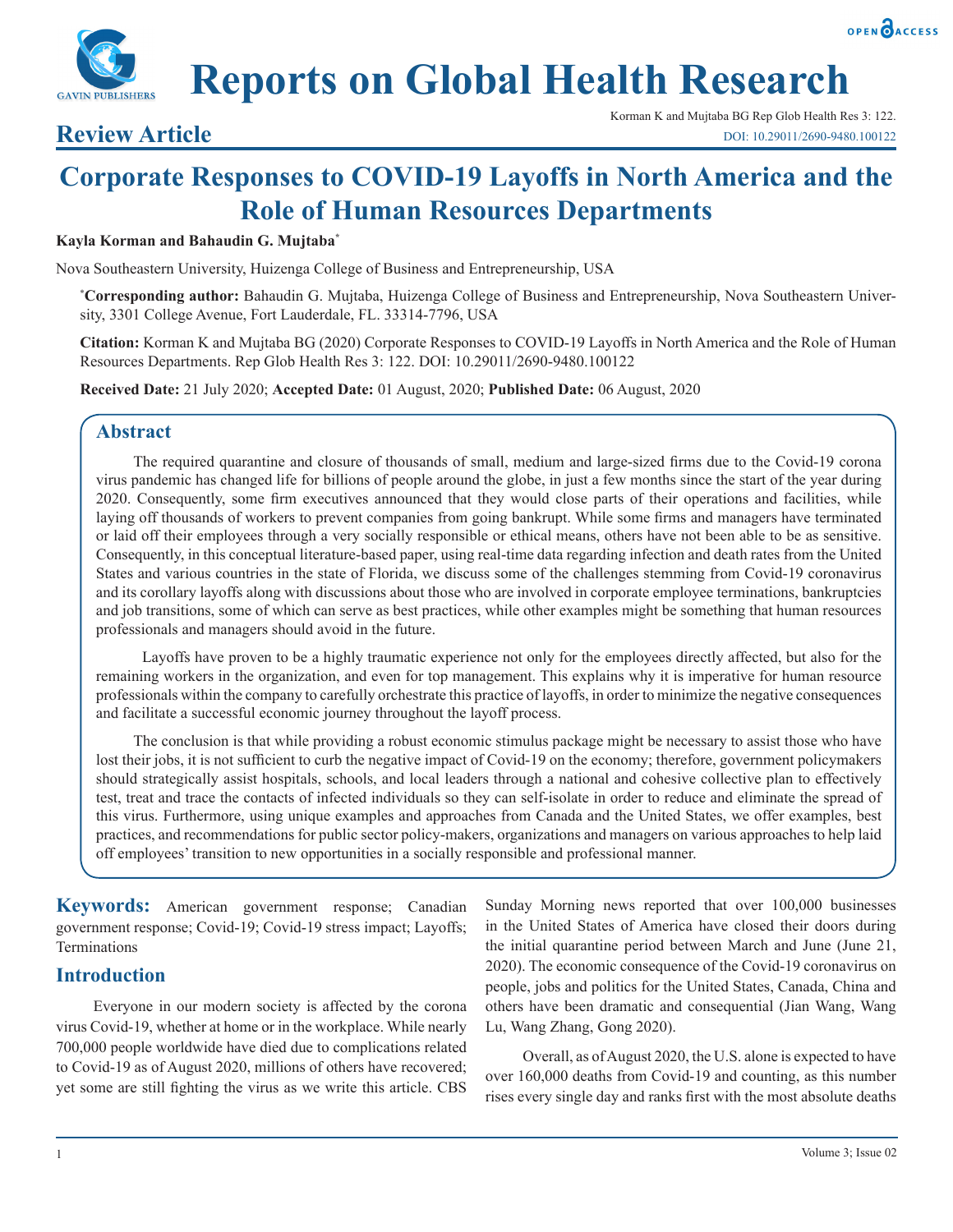



# **Reports on Global Health Research**

Korman K and Mujtaba BG Rep Glob Health Res 3: 122. **Review Article** DOI: 10.29011/2690-9480.100122

## **Corporate Responses to COVID-19 Layoffs in North America and the Role of Human Resources Departments**

#### **Kayla Korman and Bahaudin G. Mujtaba\***

Nova Southeastern University, Huizenga College of Business and Entrepreneurship, USA

**\* Corresponding author:** Bahaudin G. Mujtaba, Huizenga College of Business and Entrepreneurship, Nova Southeastern University, 3301 College Avenue, Fort Lauderdale, FL. 33314-7796, USA

**Citation:** Korman K and Mujtaba BG (2020) Corporate Responses to COVID-19 Layoffs in North America and the Role of Human Resources Departments. Rep Glob Health Res 3: 122. DOI: 10.29011/2690-9480.100122

**Received Date:** 21 July 2020; **Accepted Date:** 01 August, 2020; **Published Date:** 06 August, 2020

#### **Abstract**

The required quarantine and closure of thousands of small, medium and large-sized firms due to the Covid-19 corona virus pandemic has changed life for billions of people around the globe, in just a few months since the start of the year during 2020. Consequently, some firm executives announced that they would close parts of their operations and facilities, while laying off thousands of workers to prevent companies from going bankrupt. While some firms and managers have terminated or laid off their employees through a very socially responsible or ethical means, others have not been able to be as sensitive. Consequently, in this conceptual literature-based paper, using real-time data regarding infection and death rates from the United States and various countries in the state of Florida, we discuss some of the challenges stemming from Covid-19 coronavirus and its corollary layoffs along with discussions about those who are involved in corporate employee terminations, bankruptcies and job transitions, some of which can serve as best practices, while other examples might be something that human resources professionals and managers should avoid in the future.

 Layoffs have proven to be a highly traumatic experience not only for the employees directly affected, but also for the remaining workers in the organization, and even for top management. This explains why it is imperative for human resource professionals within the company to carefully orchestrate this practice of layoffs, in order to minimize the negative consequences and facilitate a successful economic journey throughout the layoff process.

The conclusion is that while providing a robust economic stimulus package might be necessary to assist those who have lost their jobs, it is not sufficient to curb the negative impact of Covid-19 on the economy; therefore, government policymakers should strategically assist hospitals, schools, and local leaders through a national and cohesive collective plan to effectively test, treat and trace the contacts of infected individuals so they can self-isolate in order to reduce and eliminate the spread of this virus. Furthermore, using unique examples and approaches from Canada and the United States, we offer examples, best practices, and recommendations for public sector policy-makers, organizations and managers on various approaches to help laid off employees' transition to new opportunities in a socially responsible and professional manner.

**Keywords:** American government response; Canadian government response; Covid-19; Covid-19 stress impact; Layoffs; Terminations

#### **Introduction**

Everyone in our modern society is affected by the corona virus Covid-19, whether at home or in the workplace. While nearly 700,000 people worldwide have died due to complications related to Covid-19 as of August 2020, millions of others have recovered; yet some are still fighting the virus as we write this article. CBS Sunday Morning news reported that over 100,000 businesses in the United States of America have closed their doors during the initial quarantine period between March and June (June 21, 2020). The economic consequence of the Covid-19 coronavirus on people, jobs and politics for the United States, Canada, China and others have been dramatic and consequential (Jian Wang, Wang Lu, Wang Zhang, Gong 2020).

Overall, as of August 2020, the U.S. alone is expected to have over 160,000 deaths from Covid-19 and counting, as this number rises every single day and ranks first with the most absolute deaths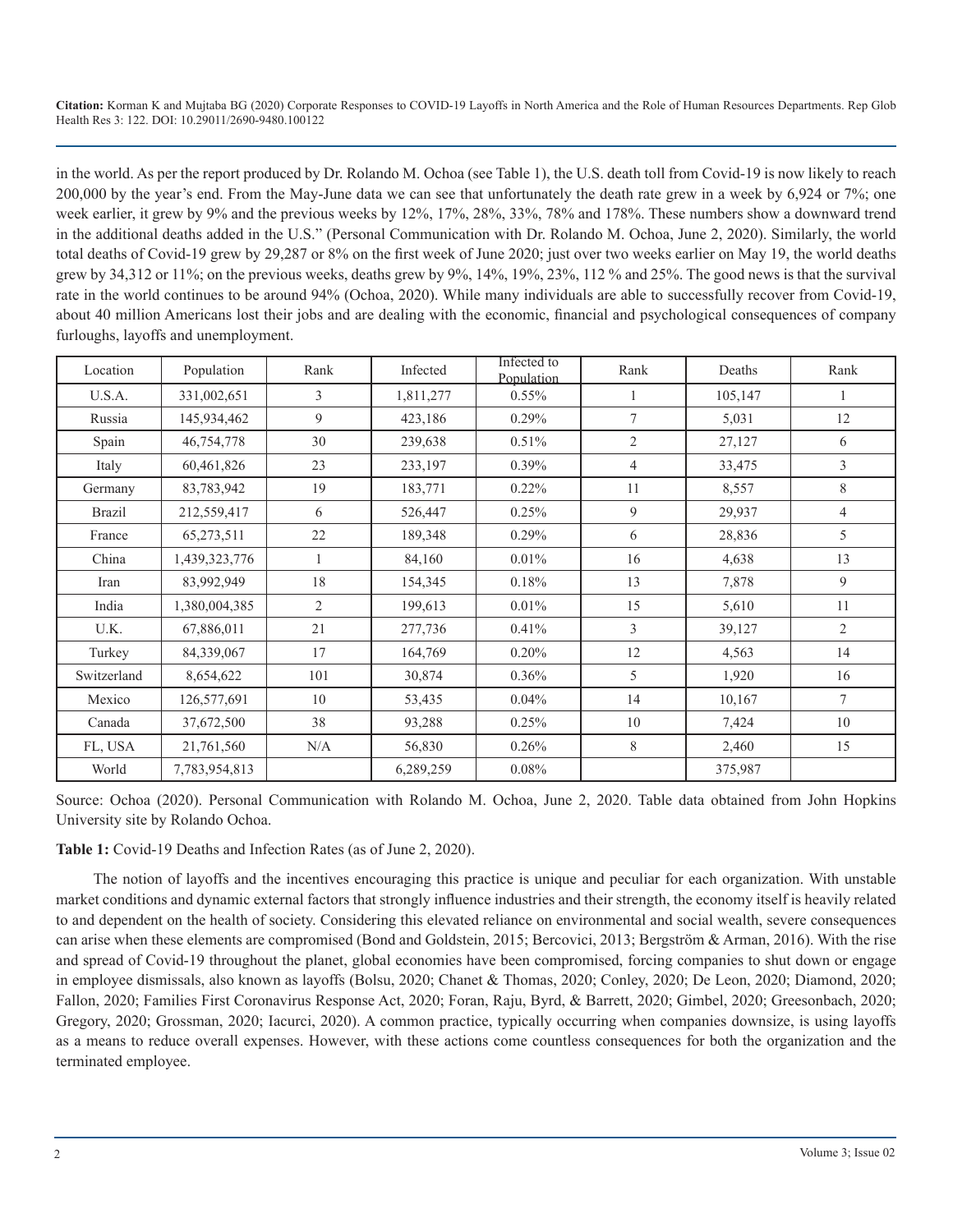in the world. As per the report produced by Dr. Rolando M. Ochoa (see Table 1), the U.S. death toll from Covid-19 is now likely to reach 200,000 by the year's end. From the May-June data we can see that unfortunately the death rate grew in a week by 6,924 or 7%; one week earlier, it grew by 9% and the previous weeks by 12%, 17%, 28%, 33%, 78% and 178%. These numbers show a downward trend in the additional deaths added in the U.S." (Personal Communication with Dr. Rolando M. Ochoa, June 2, 2020). Similarly, the world total deaths of Covid-19 grew by 29,287 or 8% on the first week of June 2020; just over two weeks earlier on May 19, the world deaths grew by 34,312 or 11%; on the previous weeks, deaths grew by 9%, 14%, 19%, 23%, 112 % and 25%. The good news is that the survival rate in the world continues to be around 94% (Ochoa, 2020). While many individuals are able to successfully recover from Covid-19, about 40 million Americans lost their jobs and are dealing with the economic, financial and psychological consequences of company furloughs, layoffs and unemployment.

| Location      | Population    | Rank           | Infected  | Infected to<br>Population | Rank           | Deaths  | Rank           |
|---------------|---------------|----------------|-----------|---------------------------|----------------|---------|----------------|
| U.S.A.        | 331,002,651   | 3              | 1,811,277 | 0.55%                     |                | 105,147 |                |
| Russia        | 145,934,462   | 9              | 423,186   | $0.29\%$                  | 7              | 5,031   | 12             |
| Spain         | 46,754,778    | 30             | 239,638   | 0.51%                     | $\overline{2}$ | 27,127  | 6              |
| Italy         | 60,461,826    | 23             | 233,197   | $0.39\%$                  | 4              | 33,475  | 3              |
| Germany       | 83,783,942    | 19             | 183,771   | $0.22\%$                  | 11             | 8,557   | 8              |
| <b>Brazil</b> | 212,559,417   | 6              | 526,447   | 0.25%                     | 9              | 29,937  | 4              |
| France        | 65,273,511    | 22             | 189,348   | 0.29%                     | 6              | 28,836  | 5              |
| China         | 1,439,323,776 | $\mathbf{1}$   | 84,160    | 0.01%                     | 16             | 4,638   | 13             |
| Iran          | 83,992,949    | 18             | 154,345   | 0.18%                     | 13             | 7,878   | 9              |
| India         | 1,380,004,385 | $\overline{2}$ | 199,613   | 0.01%                     | 15             | 5,610   | 11             |
| U.K.          | 67,886,011    | 21             | 277,736   | 0.41%                     | 3              | 39,127  | $\overline{2}$ |
| Turkey        | 84,339,067    | 17             | 164,769   | $0.20\%$                  | 12             | 4,563   | 14             |
| Switzerland   | 8,654,622     | 101            | 30,874    | 0.36%                     | 5              | 1,920   | 16             |
| Mexico        | 126,577,691   | 10             | 53,435    | 0.04%                     | 14             | 10,167  | $\tau$         |
| Canada        | 37,672,500    | 38             | 93,288    | 0.25%                     | 10             | 7,424   | 10             |
| FL, USA       | 21,761,560    | N/A            | 56,830    | 0.26%                     | 8              | 2,460   | 15             |
| World         | 7,783,954,813 |                | 6,289,259 | 0.08%                     |                | 375,987 |                |

Source: Ochoa (2020). Personal Communication with Rolando M. Ochoa, June 2, 2020. Table data obtained from John Hopkins University site by Rolando Ochoa.

**Table 1:** Covid-19 Deaths and Infection Rates (as of June 2, 2020).

The notion of layoffs and the incentives encouraging this practice is unique and peculiar for each organization. With unstable market conditions and dynamic external factors that strongly influence industries and their strength, the economy itself is heavily related to and dependent on the health of society. Considering this elevated reliance on environmental and social wealth, severe consequences can arise when these elements are compromised (Bond and Goldstein, 2015; Bercovici, 2013; Bergström & Arman, 2016). With the rise and spread of Covid-19 throughout the planet, global economies have been compromised, forcing companies to shut down or engage in employee dismissals, also known as layoffs (Bolsu, 2020; Chanet & Thomas, 2020; Conley, 2020; De Leon, 2020; Diamond, 2020; Fallon, 2020; Families First Coronavirus Response Act, 2020; Foran, Raju, Byrd, & Barrett, 2020; Gimbel, 2020; Greesonbach, 2020; Gregory, 2020; Grossman, 2020; Iacurci, 2020). A common practice, typically occurring when companies downsize, is using layoffs as a means to reduce overall expenses. However, with these actions come countless consequences for both the organization and the terminated employee.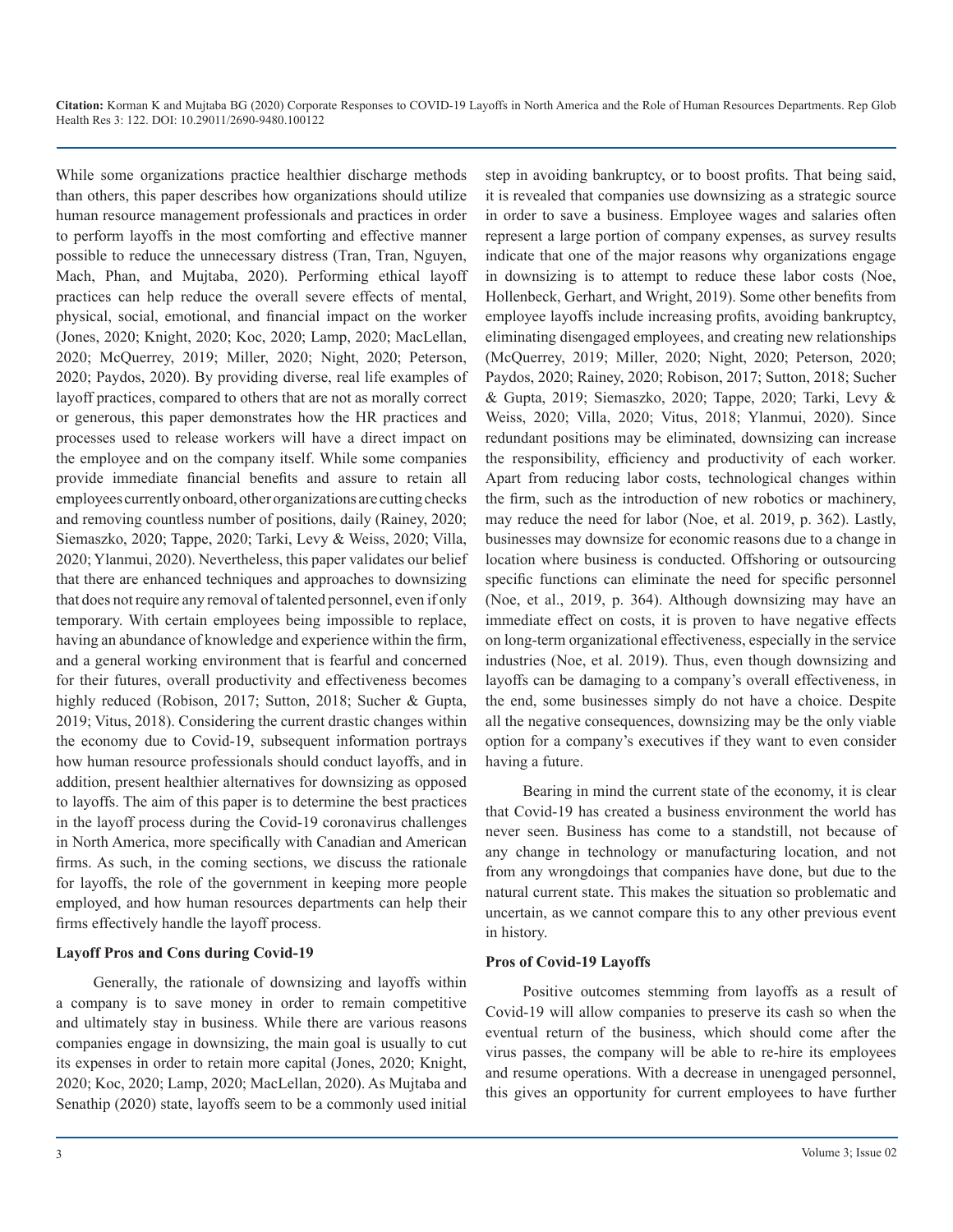While some organizations practice healthier discharge methods than others, this paper describes how organizations should utilize human resource management professionals and practices in order to perform layoffs in the most comforting and effective manner possible to reduce the unnecessary distress (Tran, Tran, Nguyen, Mach, Phan, and Mujtaba, 2020). Performing ethical layoff practices can help reduce the overall severe effects of mental, physical, social, emotional, and financial impact on the worker (Jones, 2020; Knight, 2020; Koc, 2020; Lamp, 2020; MacLellan, 2020; McQuerrey, 2019; Miller, 2020; Night, 2020; Peterson, 2020; Paydos, 2020). By providing diverse, real life examples of layoff practices, compared to others that are not as morally correct or generous, this paper demonstrates how the HR practices and processes used to release workers will have a direct impact on the employee and on the company itself. While some companies provide immediate financial benefits and assure to retain all employees currently onboard, other organizations are cutting checks and removing countless number of positions, daily (Rainey, 2020; Siemaszko, 2020; Tappe, 2020; Tarki, Levy & Weiss, 2020; Villa, 2020; Ylanmui, 2020). Nevertheless, this paper validates our belief that there are enhanced techniques and approaches to downsizing that does not require any removal of talented personnel, even if only temporary. With certain employees being impossible to replace, having an abundance of knowledge and experience within the firm, and a general working environment that is fearful and concerned for their futures, overall productivity and effectiveness becomes highly reduced (Robison, 2017; Sutton, 2018; Sucher & Gupta, 2019; Vitus, 2018). Considering the current drastic changes within the economy due to Covid-19, subsequent information portrays how human resource professionals should conduct layoffs, and in addition, present healthier alternatives for downsizing as opposed to layoffs. The aim of this paper is to determine the best practices in the layoff process during the Covid-19 coronavirus challenges in North America, more specifically with Canadian and American firms. As such, in the coming sections, we discuss the rationale for layoffs, the role of the government in keeping more people employed, and how human resources departments can help their firms effectively handle the layoff process.

#### **Layoff Pros and Cons during Covid-19**

Generally, the rationale of downsizing and layoffs within a company is to save money in order to remain competitive and ultimately stay in business. While there are various reasons companies engage in downsizing, the main goal is usually to cut its expenses in order to retain more capital (Jones, 2020; Knight, 2020; Koc, 2020; Lamp, 2020; MacLellan, 2020). As Mujtaba and Senathip (2020) state, layoffs seem to be a commonly used initial

step in avoiding bankruptcy, or to boost profits. That being said, it is revealed that companies use downsizing as a strategic source in order to save a business. Employee wages and salaries often represent a large portion of company expenses, as survey results indicate that one of the major reasons why organizations engage in downsizing is to attempt to reduce these labor costs (Noe, Hollenbeck, Gerhart, and Wright, 2019). Some other benefits from employee layoffs include increasing profits, avoiding bankruptcy, eliminating disengaged employees, and creating new relationships (McQuerrey, 2019; Miller, 2020; Night, 2020; Peterson, 2020; Paydos, 2020; Rainey, 2020; Robison, 2017; Sutton, 2018; Sucher & Gupta, 2019; Siemaszko, 2020; Tappe, 2020; Tarki, Levy & Weiss, 2020; Villa, 2020; Vitus, 2018; Ylanmui, 2020). Since redundant positions may be eliminated, downsizing can increase the responsibility, efficiency and productivity of each worker. Apart from reducing labor costs, technological changes within the firm, such as the introduction of new robotics or machinery, may reduce the need for labor (Noe, et al. 2019, p. 362). Lastly, businesses may downsize for economic reasons due to a change in location where business is conducted. Offshoring or outsourcing specific functions can eliminate the need for specific personnel (Noe, et al., 2019, p. 364). Although downsizing may have an immediate effect on costs, it is proven to have negative effects on long-term organizational effectiveness, especially in the service industries (Noe, et al. 2019). Thus, even though downsizing and layoffs can be damaging to a company's overall effectiveness, in the end, some businesses simply do not have a choice. Despite all the negative consequences, downsizing may be the only viable option for a company's executives if they want to even consider having a future.

Bearing in mind the current state of the economy, it is clear that Covid-19 has created a business environment the world has never seen. Business has come to a standstill, not because of any change in technology or manufacturing location, and not from any wrongdoings that companies have done, but due to the natural current state. This makes the situation so problematic and uncertain, as we cannot compare this to any other previous event in history.

#### **Pros of Covid-19 Layoffs**

Positive outcomes stemming from layoffs as a result of Covid-19 will allow companies to preserve its cash so when the eventual return of the business, which should come after the virus passes, the company will be able to re-hire its employees and resume operations. With a decrease in unengaged personnel, this gives an opportunity for current employees to have further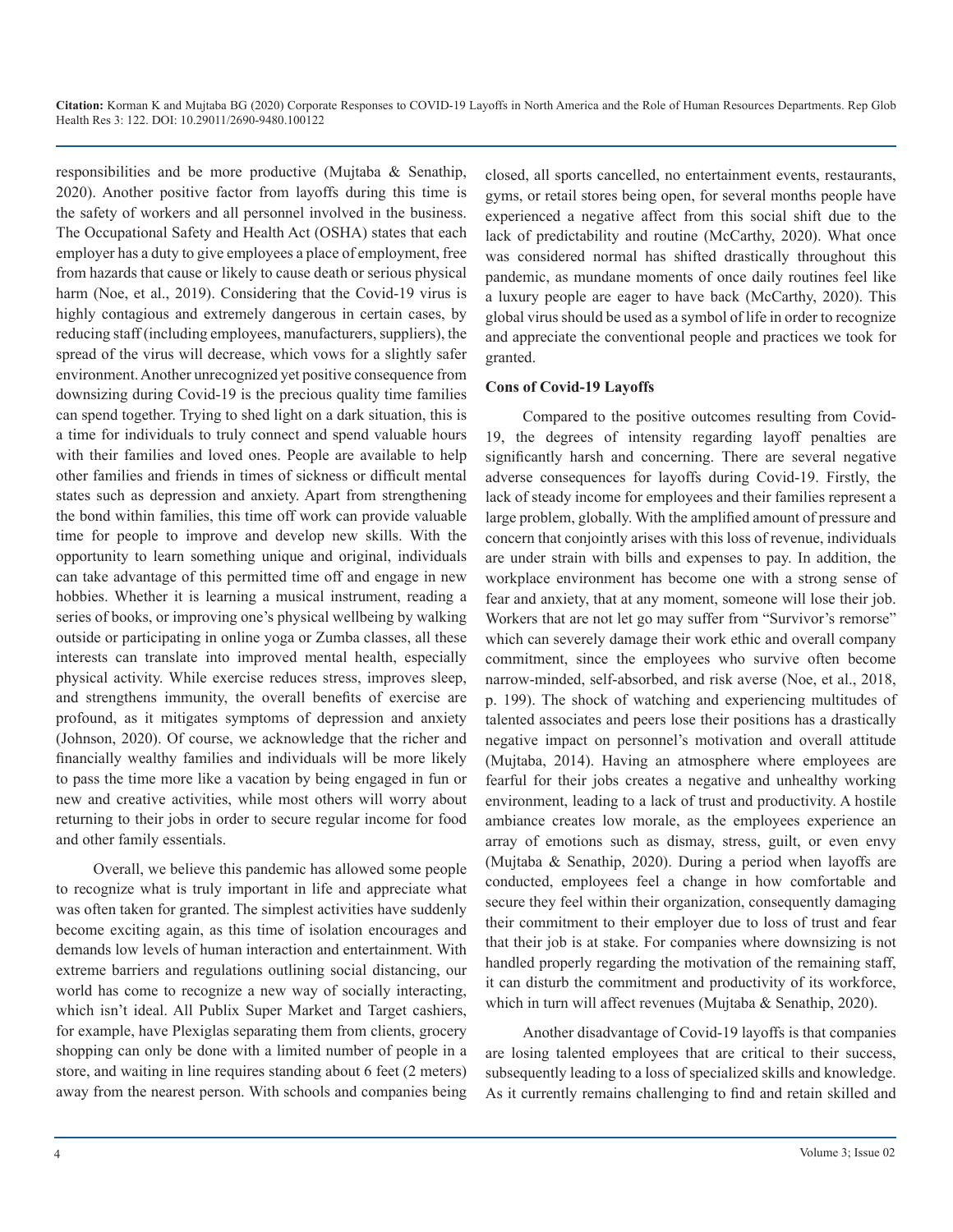responsibilities and be more productive (Mujtaba & Senathip, 2020). Another positive factor from layoffs during this time is the safety of workers and all personnel involved in the business. The Occupational Safety and Health Act (OSHA) states that each employer has a duty to give employees a place of employment, free from hazards that cause or likely to cause death or serious physical harm (Noe, et al., 2019). Considering that the Covid-19 virus is highly contagious and extremely dangerous in certain cases, by reducing staff (including employees, manufacturers, suppliers), the spread of the virus will decrease, which vows for a slightly safer environment. Another unrecognized yet positive consequence from downsizing during Covid-19 is the precious quality time families can spend together. Trying to shed light on a dark situation, this is a time for individuals to truly connect and spend valuable hours with their families and loved ones. People are available to help other families and friends in times of sickness or difficult mental states such as depression and anxiety. Apart from strengthening the bond within families, this time off work can provide valuable time for people to improve and develop new skills. With the opportunity to learn something unique and original, individuals can take advantage of this permitted time off and engage in new hobbies. Whether it is learning a musical instrument, reading a series of books, or improving one's physical wellbeing by walking outside or participating in online yoga or Zumba classes, all these interests can translate into improved mental health, especially physical activity. While exercise reduces stress, improves sleep, and strengthens immunity, the overall benefits of exercise are profound, as it mitigates symptoms of depression and anxiety (Johnson, 2020). Of course, we acknowledge that the richer and financially wealthy families and individuals will be more likely to pass the time more like a vacation by being engaged in fun or new and creative activities, while most others will worry about returning to their jobs in order to secure regular income for food and other family essentials.

Overall, we believe this pandemic has allowed some people to recognize what is truly important in life and appreciate what was often taken for granted. The simplest activities have suddenly become exciting again, as this time of isolation encourages and demands low levels of human interaction and entertainment. With extreme barriers and regulations outlining social distancing, our world has come to recognize a new way of socially interacting, which isn't ideal. All Publix Super Market and Target cashiers, for example, have Plexiglas separating them from clients, grocery shopping can only be done with a limited number of people in a store, and waiting in line requires standing about 6 feet (2 meters) away from the nearest person. With schools and companies being

closed, all sports cancelled, no entertainment events, restaurants, gyms, or retail stores being open, for several months people have experienced a negative affect from this social shift due to the lack of predictability and routine (McCarthy, 2020). What once was considered normal has shifted drastically throughout this pandemic, as mundane moments of once daily routines feel like a luxury people are eager to have back (McCarthy, 2020). This global virus should be used as a symbol of life in order to recognize and appreciate the conventional people and practices we took for granted.

#### **Cons of Covid-19 Layoffs**

Compared to the positive outcomes resulting from Covid-19, the degrees of intensity regarding layoff penalties are significantly harsh and concerning. There are several negative adverse consequences for layoffs during Covid-19. Firstly, the lack of steady income for employees and their families represent a large problem, globally. With the amplified amount of pressure and concern that conjointly arises with this loss of revenue, individuals are under strain with bills and expenses to pay. In addition, the workplace environment has become one with a strong sense of fear and anxiety, that at any moment, someone will lose their job. Workers that are not let go may suffer from "Survivor's remorse" which can severely damage their work ethic and overall company commitment, since the employees who survive often become narrow-minded, self-absorbed, and risk averse (Noe, et al., 2018, p. 199). The shock of watching and experiencing multitudes of talented associates and peers lose their positions has a drastically negative impact on personnel's motivation and overall attitude (Mujtaba, 2014). Having an atmosphere where employees are fearful for their jobs creates a negative and unhealthy working environment, leading to a lack of trust and productivity. A hostile ambiance creates low morale, as the employees experience an array of emotions such as dismay, stress, guilt, or even envy (Mujtaba & Senathip, 2020). During a period when layoffs are conducted, employees feel a change in how comfortable and secure they feel within their organization, consequently damaging their commitment to their employer due to loss of trust and fear that their job is at stake. For companies where downsizing is not handled properly regarding the motivation of the remaining staff, it can disturb the commitment and productivity of its workforce, which in turn will affect revenues (Mujtaba & Senathip, 2020).

Another disadvantage of Covid-19 layoffs is that companies are losing talented employees that are critical to their success, subsequently leading to a loss of specialized skills and knowledge. As it currently remains challenging to find and retain skilled and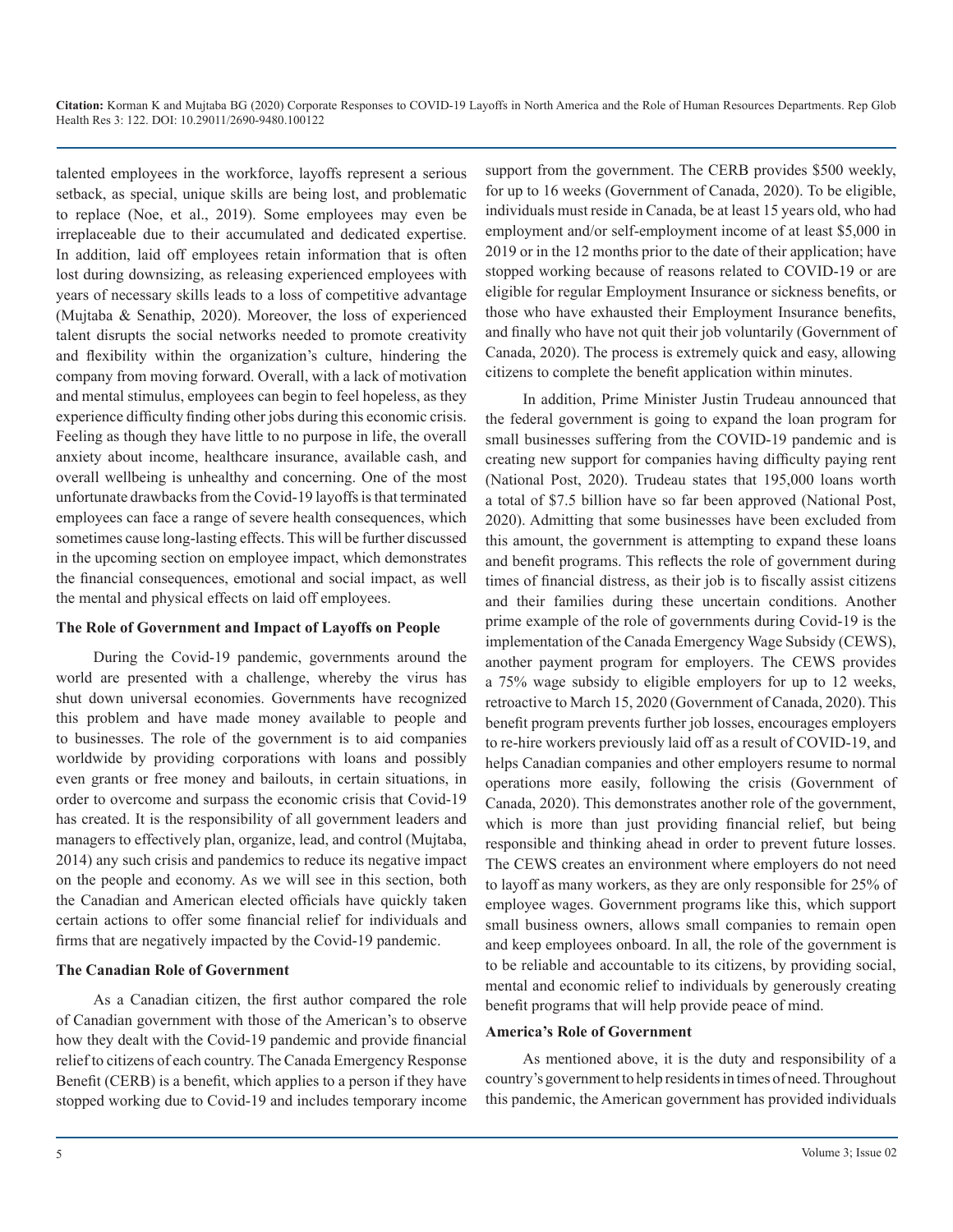talented employees in the workforce, layoffs represent a serious setback, as special, unique skills are being lost, and problematic to replace (Noe, et al., 2019). Some employees may even be irreplaceable due to their accumulated and dedicated expertise. In addition, laid off employees retain information that is often lost during downsizing, as releasing experienced employees with years of necessary skills leads to a loss of competitive advantage (Mujtaba & Senathip, 2020). Moreover, the loss of experienced talent disrupts the social networks needed to promote creativity and flexibility within the organization's culture, hindering the company from moving forward. Overall, with a lack of motivation and mental stimulus, employees can begin to feel hopeless, as they experience difficulty finding other jobs during this economic crisis. Feeling as though they have little to no purpose in life, the overall anxiety about income, healthcare insurance, available cash, and overall wellbeing is unhealthy and concerning. One of the most unfortunate drawbacks from the Covid-19 layoffs is that terminated employees can face a range of severe health consequences, which sometimes cause long-lasting effects. This will be further discussed in the upcoming section on employee impact, which demonstrates the financial consequences, emotional and social impact, as well the mental and physical effects on laid off employees.

#### **The Role of Government and Impact of Layoffs on People**

During the Covid-19 pandemic, governments around the world are presented with a challenge, whereby the virus has shut down universal economies. Governments have recognized this problem and have made money available to people and to businesses. The role of the government is to aid companies worldwide by providing corporations with loans and possibly even grants or free money and bailouts, in certain situations, in order to overcome and surpass the economic crisis that Covid-19 has created. It is the responsibility of all government leaders and managers to effectively plan, organize, lead, and control (Mujtaba, 2014) any such crisis and pandemics to reduce its negative impact on the people and economy. As we will see in this section, both the Canadian and American elected officials have quickly taken certain actions to offer some financial relief for individuals and firms that are negatively impacted by the Covid-19 pandemic.

#### **The Canadian Role of Government**

As a Canadian citizen, the first author compared the role of Canadian government with those of the American's to observe how they dealt with the Covid-19 pandemic and provide financial relief to citizens of each country. The Canada Emergency Response Benefit (CERB) is a benefit, which applies to a person if they have stopped working due to Covid-19 and includes temporary income support from the government. The CERB provides \$500 weekly, for up to 16 weeks (Government of Canada, 2020). To be eligible, individuals must reside in Canada, be at least 15 years old, who had employment and/or self-employment income of at least \$5,000 in 2019 or in the 12 months prior to the date of their application; have stopped working because of reasons related to COVID-19 or are eligible for regular Employment Insurance or sickness benefits, or those who have exhausted their Employment Insurance benefits, and finally who have not quit their job voluntarily (Government of Canada, 2020). The process is extremely quick and easy, allowing citizens to complete the benefit application within minutes.

In addition, Prime Minister Justin Trudeau announced that the federal government is going to expand the loan program for small businesses suffering from the COVID-19 pandemic and is creating new support for companies having difficulty paying rent (National Post, 2020). Trudeau states that 195,000 loans worth a total of \$7.5 billion have so far been approved (National Post, 2020). Admitting that some businesses have been excluded from this amount, the government is attempting to expand these loans and benefit programs. This reflects the role of government during times of financial distress, as their job is to fiscally assist citizens and their families during these uncertain conditions. Another prime example of the role of governments during Covid-19 is the implementation of the Canada Emergency Wage Subsidy (CEWS), another payment program for employers. The CEWS provides a 75% wage subsidy to eligible employers for up to 12 weeks, retroactive to March 15, 2020 (Government of Canada, 2020). This benefit program prevents further job losses, encourages employers to re-hire workers previously laid off as a result of COVID-19, and helps Canadian companies and other employers resume to normal operations more easily, following the crisis (Government of Canada, 2020). This demonstrates another role of the government, which is more than just providing financial relief, but being responsible and thinking ahead in order to prevent future losses. The CEWS creates an environment where employers do not need to layoff as many workers, as they are only responsible for 25% of employee wages. Government programs like this, which support small business owners, allows small companies to remain open and keep employees onboard. In all, the role of the government is to be reliable and accountable to its citizens, by providing social, mental and economic relief to individuals by generously creating benefit programs that will help provide peace of mind.

#### **America's Role of Government**

As mentioned above, it is the duty and responsibility of a country's government to help residents in times of need. Throughout this pandemic, the American government has provided individuals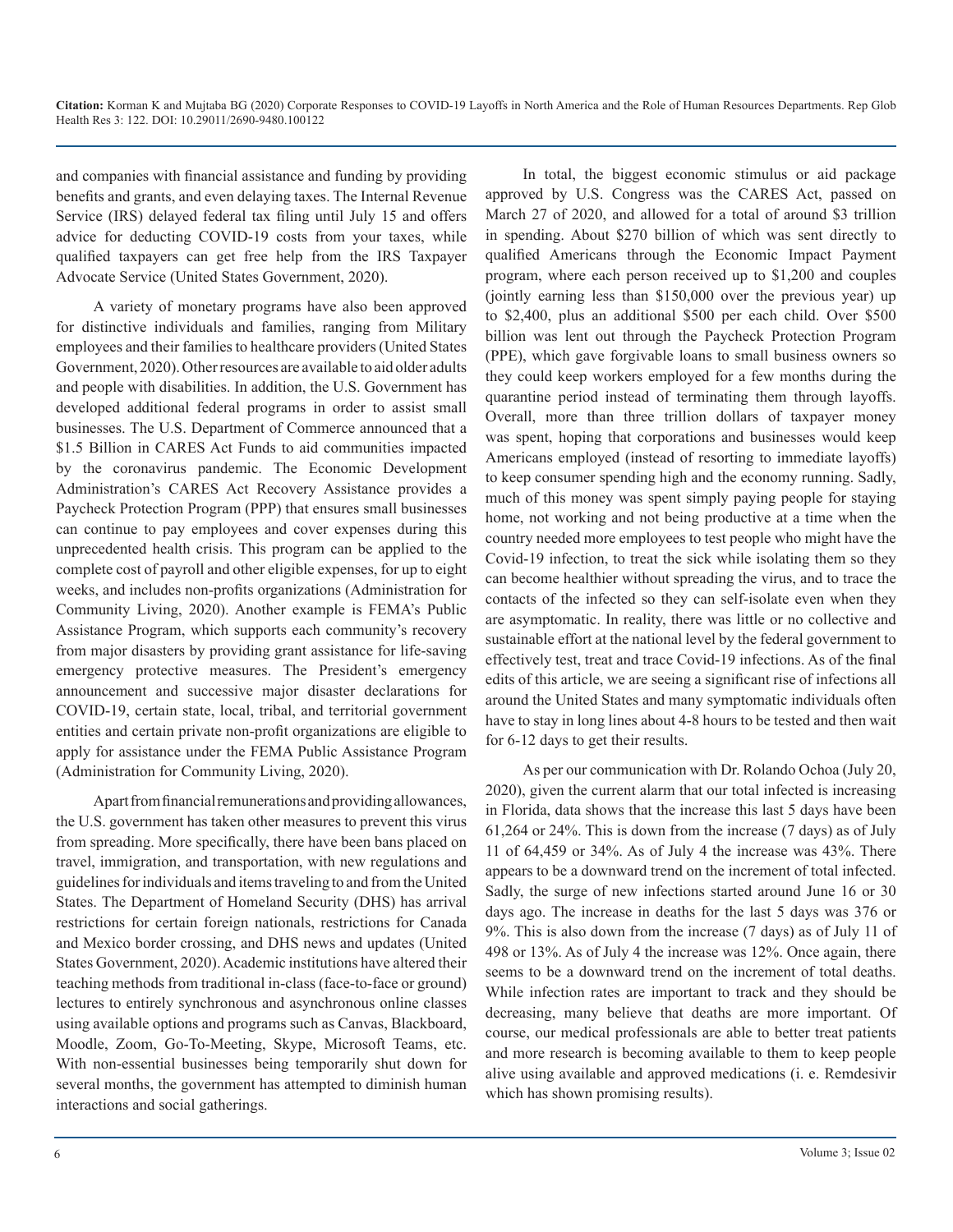and companies with financial assistance and funding by providing benefits and grants, and even delaying taxes. The Internal Revenue Service (IRS) delayed federal tax filing until July 15 and offers advice for deducting COVID-19 costs from your taxes, while qualified taxpayers can get free help from the IRS Taxpayer Advocate Service (United States Government, 2020).

A variety of monetary programs have also been approved for distinctive individuals and families, ranging from Military employees and their families to healthcare providers (United States Government, 2020). Other resources are available to aid older adults and people with disabilities. In addition, the U.S. Government has developed additional federal programs in order to assist small businesses. The U.S. Department of Commerce announced that a \$1.5 Billion in CARES Act Funds to aid communities impacted by the coronavirus pandemic. The Economic Development Administration's CARES Act Recovery Assistance provides a Paycheck Protection Program (PPP) that ensures small businesses can continue to pay employees and cover expenses during this unprecedented health crisis. This program can be applied to the complete cost of payroll and other eligible expenses, for up to eight weeks, and includes non-profits organizations (Administration for Community Living, 2020). Another example is FEMA's Public Assistance Program, which supports each community's recovery from major disasters by providing grant assistance for life-saving emergency protective measures. The President's emergency announcement and successive major disaster declarations for COVID-19, certain state, local, tribal, and territorial government entities and certain private non-profit organizations are eligible to apply for assistance under the FEMA Public Assistance Program (Administration for Community Living, 2020).

Apart from financial remunerations and providing allowances, the U.S. government has taken other measures to prevent this virus from spreading. More specifically, there have been bans placed on travel, immigration, and transportation, with new regulations and guidelines for individuals and items traveling to and from the United States. The Department of Homeland Security (DHS) has arrival restrictions for certain foreign nationals, restrictions for Canada and Mexico border crossing, and DHS news and updates (United States Government, 2020). Academic institutions have altered their teaching methods from traditional in-class (face-to-face or ground) lectures to entirely synchronous and asynchronous online classes using available options and programs such as Canvas, Blackboard, Moodle, Zoom, Go-To-Meeting, Skype, Microsoft Teams, etc. With non-essential businesses being temporarily shut down for several months, the government has attempted to diminish human interactions and social gatherings.

In total, the biggest economic stimulus or aid package approved by U.S. Congress was the CARES Act, passed on March 27 of 2020, and allowed for a total of around \$3 trillion in spending. About \$270 billion of which was sent directly to qualified Americans through the Economic Impact Payment program, where each person received up to \$1,200 and couples (jointly earning less than \$150,000 over the previous year) up to \$2,400, plus an additional \$500 per each child. Over \$500 billion was lent out through the Paycheck Protection Program (PPE), which gave forgivable loans to small business owners so they could keep workers employed for a few months during the quarantine period instead of terminating them through layoffs. Overall, more than three trillion dollars of taxpayer money was spent, hoping that corporations and businesses would keep Americans employed (instead of resorting to immediate layoffs) to keep consumer spending high and the economy running. Sadly, much of this money was spent simply paying people for staying home, not working and not being productive at a time when the country needed more employees to test people who might have the Covid-19 infection, to treat the sick while isolating them so they can become healthier without spreading the virus, and to trace the contacts of the infected so they can self-isolate even when they are asymptomatic. In reality, there was little or no collective and sustainable effort at the national level by the federal government to effectively test, treat and trace Covid-19 infections. As of the final edits of this article, we are seeing a significant rise of infections all around the United States and many symptomatic individuals often have to stay in long lines about 4-8 hours to be tested and then wait for 6-12 days to get their results.

As per our communication with Dr. Rolando Ochoa (July 20, 2020), given the current alarm that our total infected is increasing in Florida, data shows that the increase this last 5 days have been 61,264 or 24%. This is down from the increase (7 days) as of July 11 of 64,459 or 34%. As of July 4 the increase was 43%. There appears to be a downward trend on the increment of total infected. Sadly, the surge of new infections started around June 16 or 30 days ago. The increase in deaths for the last 5 days was 376 or 9%. This is also down from the increase (7 days) as of July 11 of 498 or 13%. As of July 4 the increase was 12%. Once again, there seems to be a downward trend on the increment of total deaths. While infection rates are important to track and they should be decreasing, many believe that deaths are more important. Of course, our medical professionals are able to better treat patients and more research is becoming available to them to keep people alive using available and approved medications (i. e. Remdesivir which has shown promising results).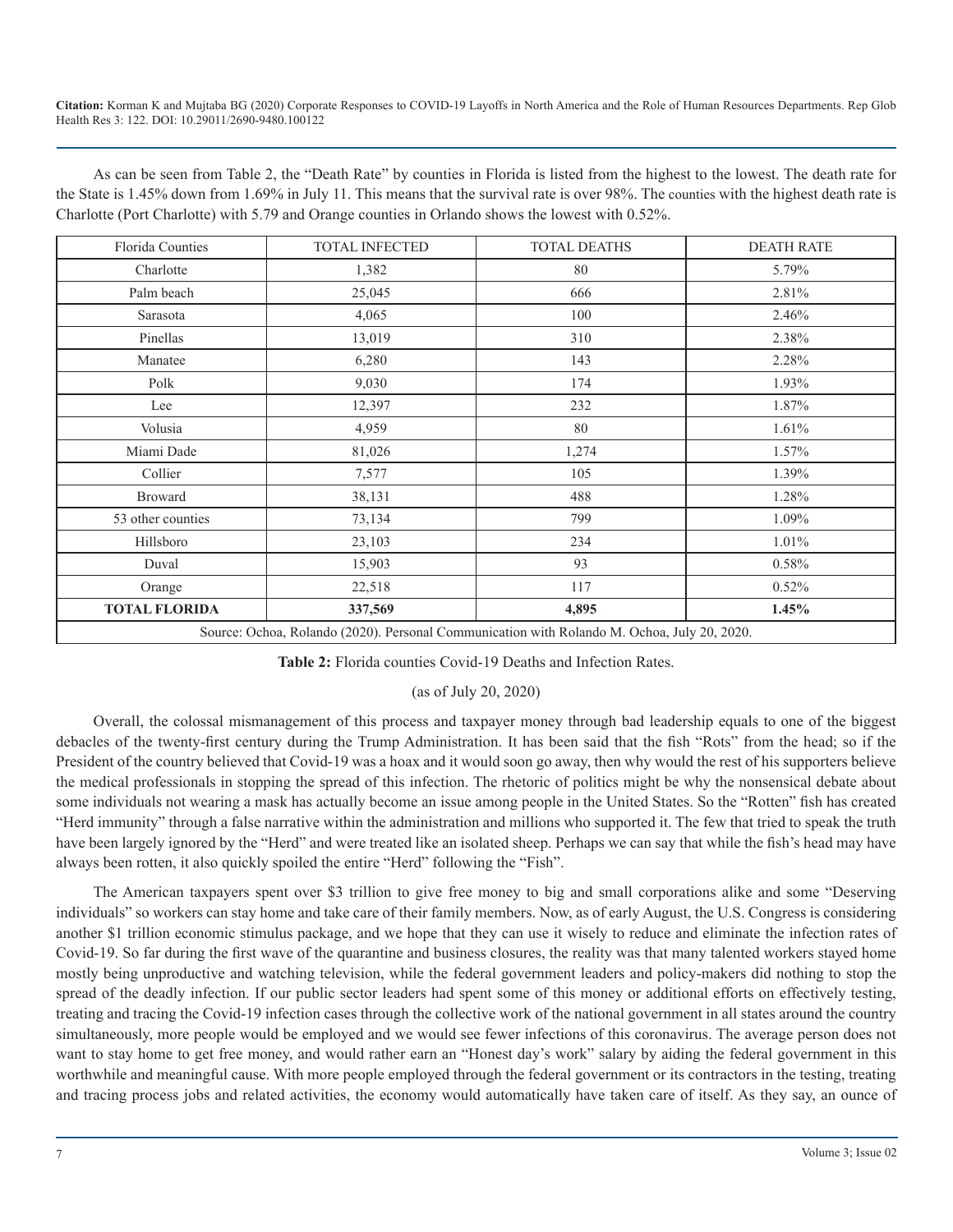As can be seen from Table 2, the "Death Rate" by counties in Florida is listed from the highest to the lowest. The death rate for the State is 1.45% down from 1.69% in July 11. This means that the survival rate is over 98%. The counties with the highest death rate is Charlotte (Port Charlotte) with 5.79 and Orange counties in Orlando shows the lowest with 0.52%.

| <b>Florida Counties</b>                                                                     | <b>TOTAL INFECTED</b> | <b>TOTAL DEATHS</b> | <b>DEATH RATE</b> |  |  |
|---------------------------------------------------------------------------------------------|-----------------------|---------------------|-------------------|--|--|
| Charlotte                                                                                   | 1,382                 | 80                  | 5.79%             |  |  |
| Palm beach                                                                                  | 25,045                | 666                 | 2.81%             |  |  |
| Sarasota                                                                                    | 4,065                 | 100                 | 2.46%             |  |  |
| Pinellas                                                                                    | 13,019                | 310                 | 2.38%             |  |  |
| Manatee                                                                                     | 6,280                 | 143                 | 2.28%             |  |  |
| Polk                                                                                        | 9,030                 | 174                 | 1.93%             |  |  |
| Lee                                                                                         | 12,397                | 232                 | 1.87%             |  |  |
| Volusia                                                                                     | 4,959                 | 80                  | 1.61%             |  |  |
| Miami Dade                                                                                  | 81,026                | 1,274               | $1.57\%$          |  |  |
| Collier                                                                                     | 7,577                 | 105                 | 1.39%             |  |  |
| <b>Broward</b>                                                                              | 38,131                | 488                 | 1.28%             |  |  |
| 53 other counties                                                                           | 73,134                | 799                 | 1.09%             |  |  |
| Hillsboro                                                                                   | 23,103                | 234                 | 1.01%             |  |  |
| Duval                                                                                       | 15,903                | 93                  | 0.58%             |  |  |
| Orange                                                                                      | 22,518                | 117                 | 0.52%             |  |  |
| <b>TOTAL FLORIDA</b>                                                                        | 337,569               | 4,895               | 1.45%             |  |  |
| Source: Ochoa, Rolando (2020). Personal Communication with Rolando M. Ochoa. July 20, 2020. |                       |                     |                   |  |  |

**Table 2:** Florida counties Covid-19 Deaths and Infection Rates.

#### (as of July 20, 2020)

Overall, the colossal mismanagement of this process and taxpayer money through bad leadership equals to one of the biggest debacles of the twenty-first century during the Trump Administration. It has been said that the fish "Rots" from the head; so if the President of the country believed that Covid-19 was a hoax and it would soon go away, then why would the rest of his supporters believe the medical professionals in stopping the spread of this infection. The rhetoric of politics might be why the nonsensical debate about some individuals not wearing a mask has actually become an issue among people in the United States. So the "Rotten" fish has created "Herd immunity" through a false narrative within the administration and millions who supported it. The few that tried to speak the truth have been largely ignored by the "Herd" and were treated like an isolated sheep. Perhaps we can say that while the fish's head may have always been rotten, it also quickly spoiled the entire "Herd" following the "Fish".

The American taxpayers spent over \$3 trillion to give free money to big and small corporations alike and some "Deserving individuals" so workers can stay home and take care of their family members. Now, as of early August, the U.S. Congress is considering another \$1 trillion economic stimulus package, and we hope that they can use it wisely to reduce and eliminate the infection rates of Covid-19. So far during the first wave of the quarantine and business closures, the reality was that many talented workers stayed home mostly being unproductive and watching television, while the federal government leaders and policy-makers did nothing to stop the spread of the deadly infection. If our public sector leaders had spent some of this money or additional efforts on effectively testing, treating and tracing the Covid-19 infection cases through the collective work of the national government in all states around the country simultaneously, more people would be employed and we would see fewer infections of this coronavirus. The average person does not want to stay home to get free money, and would rather earn an "Honest day's work" salary by aiding the federal government in this worthwhile and meaningful cause. With more people employed through the federal government or its contractors in the testing, treating and tracing process jobs and related activities, the economy would automatically have taken care of itself. As they say, an ounce of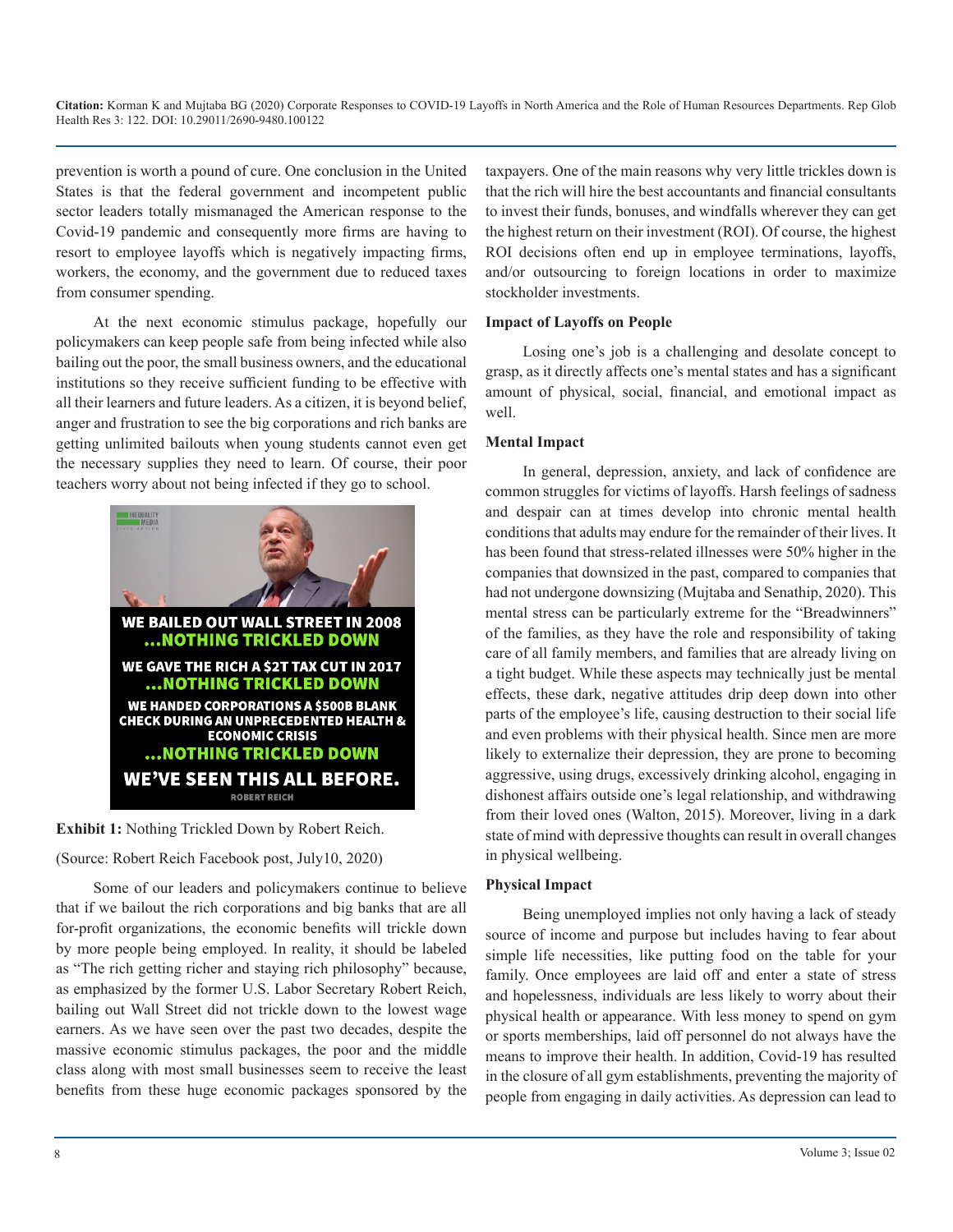prevention is worth a pound of cure. One conclusion in the United States is that the federal government and incompetent public sector leaders totally mismanaged the American response to the Covid-19 pandemic and consequently more firms are having to resort to employee layoffs which is negatively impacting firms, workers, the economy, and the government due to reduced taxes from consumer spending.

At the next economic stimulus package, hopefully our policymakers can keep people safe from being infected while also bailing out the poor, the small business owners, and the educational institutions so they receive sufficient funding to be effective with all their learners and future leaders. As a citizen, it is beyond belief, anger and frustration to see the big corporations and rich banks are getting unlimited bailouts when young students cannot even get the necessary supplies they need to learn. Of course, their poor teachers worry about not being infected if they go to school.





(Source: Robert Reich Facebook post, July10, 2020)

Some of our leaders and policymakers continue to believe that if we bailout the rich corporations and big banks that are all for-profit organizations, the economic benefits will trickle down by more people being employed. In reality, it should be labeled as "The rich getting richer and staying rich philosophy" because, as emphasized by the former U.S. Labor Secretary Robert Reich, bailing out Wall Street did not trickle down to the lowest wage earners. As we have seen over the past two decades, despite the massive economic stimulus packages, the poor and the middle class along with most small businesses seem to receive the least benefits from these huge economic packages sponsored by the

taxpayers. One of the main reasons why very little trickles down is that the rich will hire the best accountants and financial consultants to invest their funds, bonuses, and windfalls wherever they can get the highest return on their investment (ROI). Of course, the highest ROI decisions often end up in employee terminations, layoffs, and/or outsourcing to foreign locations in order to maximize stockholder investments.

#### **Impact of Layoffs on People**

Losing one's job is a challenging and desolate concept to grasp, as it directly affects one's mental states and has a significant amount of physical, social, financial, and emotional impact as well.

#### **Mental Impact**

In general, depression, anxiety, and lack of confidence are common struggles for victims of layoffs. Harsh feelings of sadness and despair can at times develop into chronic mental health conditions that adults may endure for the remainder of their lives. It has been found that stress-related illnesses were 50% higher in the companies that downsized in the past, compared to companies that had not undergone downsizing (Mujtaba and Senathip, 2020). This mental stress can be particularly extreme for the "Breadwinners" of the families, as they have the role and responsibility of taking care of all family members, and families that are already living on a tight budget. While these aspects may technically just be mental effects, these dark, negative attitudes drip deep down into other parts of the employee's life, causing destruction to their social life and even problems with their physical health. Since men are more likely to externalize their depression, they are prone to becoming aggressive, using drugs, excessively drinking alcohol, engaging in dishonest affairs outside one's legal relationship, and withdrawing from their loved ones (Walton, 2015). Moreover, living in a dark state of mind with depressive thoughts can result in overall changes in physical wellbeing.

#### **Physical Impact**

Being unemployed implies not only having a lack of steady source of income and purpose but includes having to fear about simple life necessities, like putting food on the table for your family. Once employees are laid off and enter a state of stress and hopelessness, individuals are less likely to worry about their physical health or appearance. With less money to spend on gym or sports memberships, laid off personnel do not always have the means to improve their health. In addition, Covid-19 has resulted in the closure of all gym establishments, preventing the majority of people from engaging in daily activities. As depression can lead to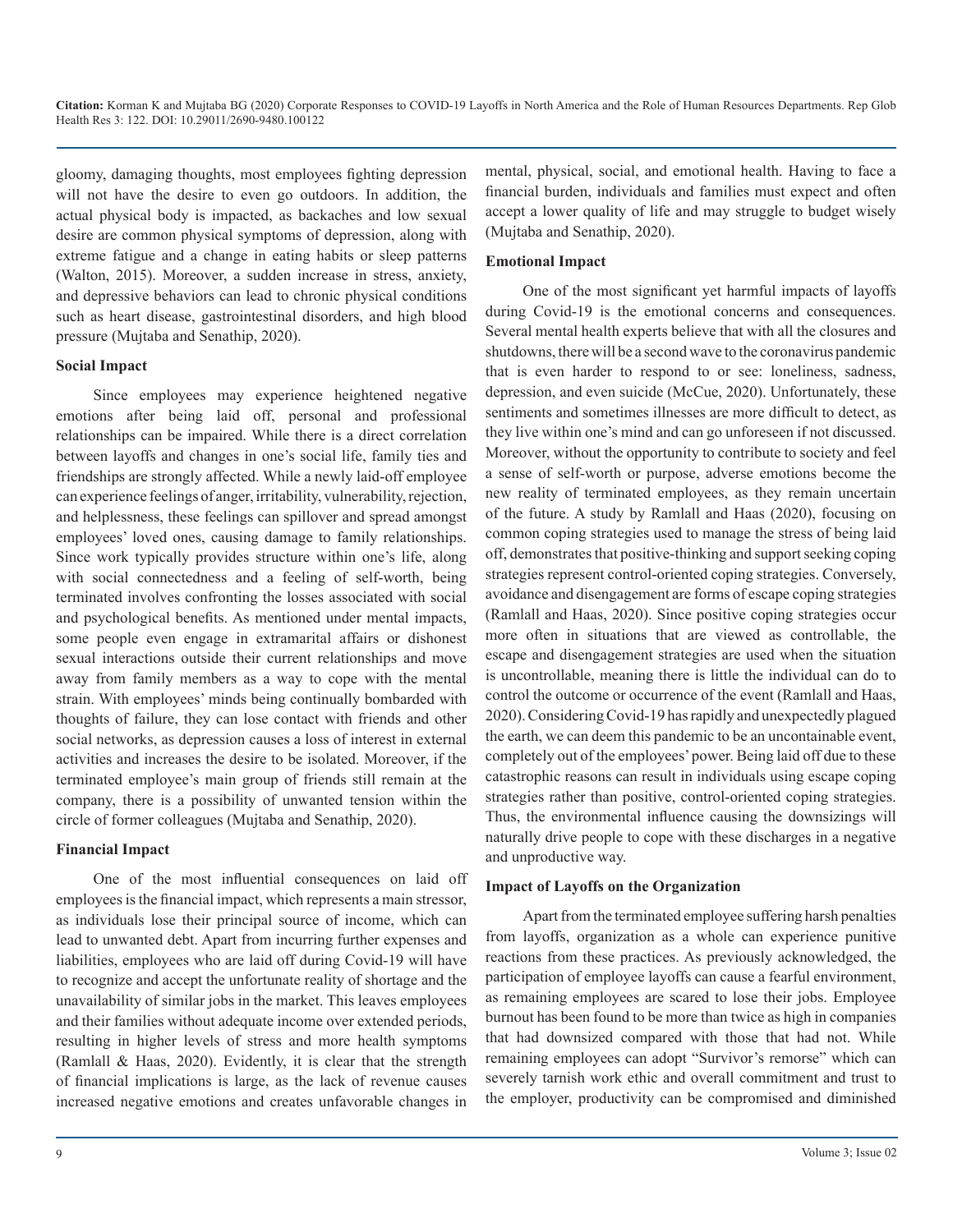gloomy, damaging thoughts, most employees fighting depression will not have the desire to even go outdoors. In addition, the actual physical body is impacted, as backaches and low sexual desire are common physical symptoms of depression, along with extreme fatigue and a change in eating habits or sleep patterns (Walton, 2015). Moreover, a sudden increase in stress, anxiety, and depressive behaviors can lead to chronic physical conditions such as heart disease, gastrointestinal disorders, and high blood pressure (Mujtaba and Senathip, 2020).

#### **Social Impact**

Since employees may experience heightened negative emotions after being laid off, personal and professional relationships can be impaired. While there is a direct correlation between layoffs and changes in one's social life, family ties and friendships are strongly affected. While a newly laid-off employee can experience feelings of anger, irritability, vulnerability, rejection, and helplessness, these feelings can spillover and spread amongst employees' loved ones, causing damage to family relationships. Since work typically provides structure within one's life, along with social connectedness and a feeling of self-worth, being terminated involves confronting the losses associated with social and psychological benefits. As mentioned under mental impacts, some people even engage in extramarital affairs or dishonest sexual interactions outside their current relationships and move away from family members as a way to cope with the mental strain. With employees' minds being continually bombarded with thoughts of failure, they can lose contact with friends and other social networks, as depression causes a loss of interest in external activities and increases the desire to be isolated. Moreover, if the terminated employee's main group of friends still remain at the company, there is a possibility of unwanted tension within the circle of former colleagues (Mujtaba and Senathip, 2020).

#### **Financial Impact**

One of the most influential consequences on laid off employees is the financial impact, which represents a main stressor, as individuals lose their principal source of income, which can lead to unwanted debt. Apart from incurring further expenses and liabilities, employees who are laid off during Covid-19 will have to recognize and accept the unfortunate reality of shortage and the unavailability of similar jobs in the market. This leaves employees and their families without adequate income over extended periods, resulting in higher levels of stress and more health symptoms (Ramlall & Haas, 2020). Evidently, it is clear that the strength of financial implications is large, as the lack of revenue causes increased negative emotions and creates unfavorable changes in

mental, physical, social, and emotional health. Having to face a financial burden, individuals and families must expect and often accept a lower quality of life and may struggle to budget wisely (Mujtaba and Senathip, 2020).

#### **Emotional Impact**

One of the most significant yet harmful impacts of layoffs during Covid-19 is the emotional concerns and consequences. Several mental health experts believe that with all the closures and shutdowns, there will be a second wave to the coronavirus pandemic that is even harder to respond to or see: loneliness, sadness, depression, and even suicide (McCue, 2020). Unfortunately, these sentiments and sometimes illnesses are more difficult to detect, as they live within one's mind and can go unforeseen if not discussed. Moreover, without the opportunity to contribute to society and feel a sense of self-worth or purpose, adverse emotions become the new reality of terminated employees, as they remain uncertain of the future. A study by Ramlall and Haas (2020), focusing on common coping strategies used to manage the stress of being laid off, demonstrates that positive-thinking and support seeking coping strategies represent control-oriented coping strategies. Conversely, avoidance and disengagement are forms of escape coping strategies (Ramlall and Haas, 2020). Since positive coping strategies occur more often in situations that are viewed as controllable, the escape and disengagement strategies are used when the situation is uncontrollable, meaning there is little the individual can do to control the outcome or occurrence of the event (Ramlall and Haas, 2020). Considering Covid-19 has rapidly and unexpectedly plagued the earth, we can deem this pandemic to be an uncontainable event, completely out of the employees' power. Being laid off due to these catastrophic reasons can result in individuals using escape coping strategies rather than positive, control-oriented coping strategies. Thus, the environmental influence causing the downsizings will naturally drive people to cope with these discharges in a negative and unproductive way.

#### **Impact of Layoffs on the Organization**

Apart from the terminated employee suffering harsh penalties from layoffs, organization as a whole can experience punitive reactions from these practices. As previously acknowledged, the participation of employee layoffs can cause a fearful environment, as remaining employees are scared to lose their jobs. Employee burnout has been found to be more than twice as high in companies that had downsized compared with those that had not. While remaining employees can adopt "Survivor's remorse" which can severely tarnish work ethic and overall commitment and trust to the employer, productivity can be compromised and diminished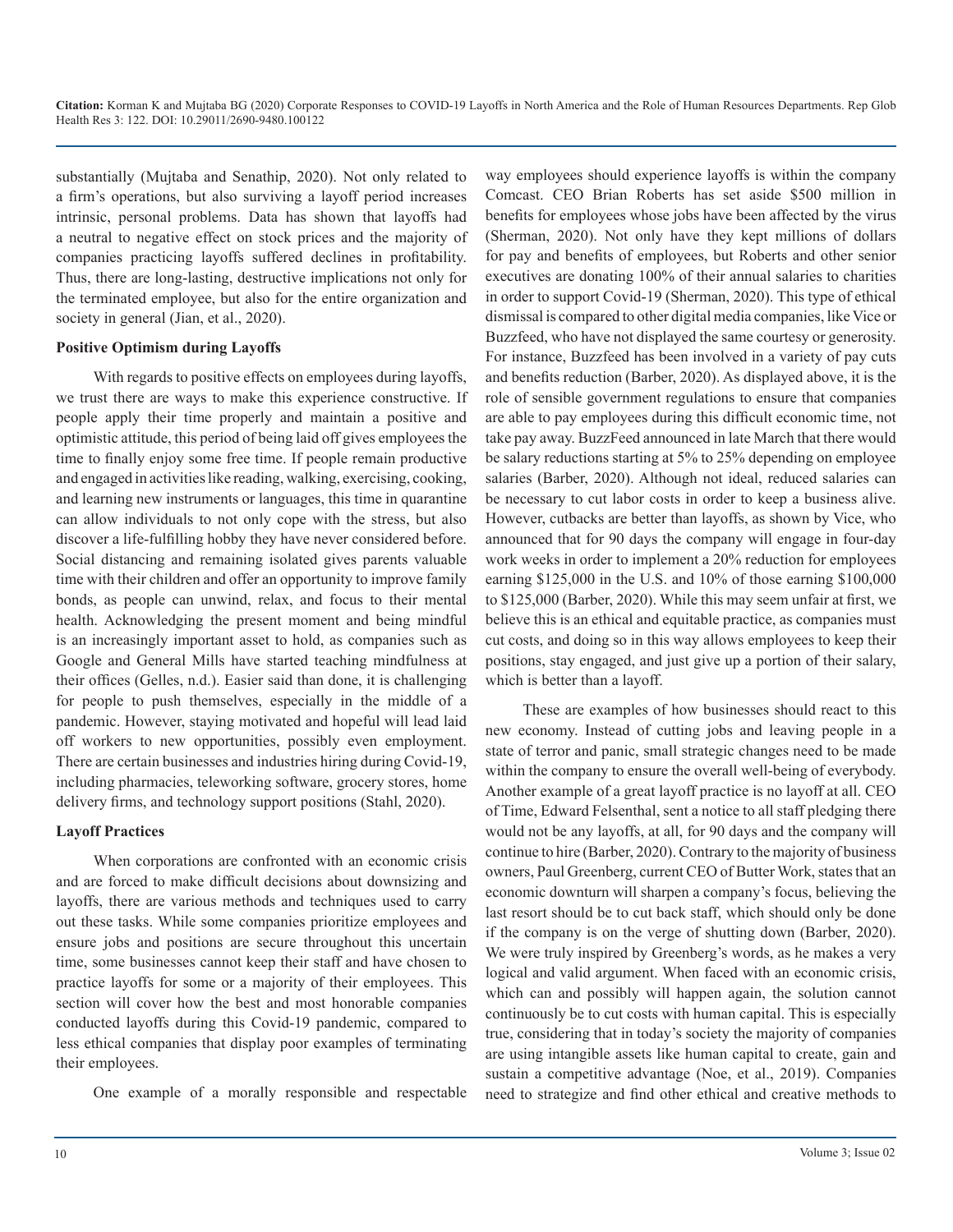substantially (Mujtaba and Senathip, 2020). Not only related to a firm's operations, but also surviving a layoff period increases intrinsic, personal problems. Data has shown that layoffs had a neutral to negative effect on stock prices and the majority of companies practicing layoffs suffered declines in profitability. Thus, there are long-lasting, destructive implications not only for the terminated employee, but also for the entire organization and society in general (Jian, et al., 2020).

#### **Positive Optimism during Layoffs**

With regards to positive effects on employees during layoffs, we trust there are ways to make this experience constructive. If people apply their time properly and maintain a positive and optimistic attitude, this period of being laid off gives employees the time to finally enjoy some free time. If people remain productive and engaged in activities like reading, walking, exercising, cooking, and learning new instruments or languages, this time in quarantine can allow individuals to not only cope with the stress, but also discover a life-fulfilling hobby they have never considered before. Social distancing and remaining isolated gives parents valuable time with their children and offer an opportunity to improve family bonds, as people can unwind, relax, and focus to their mental health. Acknowledging the present moment and being mindful is an increasingly important asset to hold, as companies such as Google and General Mills have started teaching mindfulness at their offices (Gelles, n.d.). Easier said than done, it is challenging for people to push themselves, especially in the middle of a pandemic. However, staying motivated and hopeful will lead laid off workers to new opportunities, possibly even employment. There are certain businesses and industries hiring during Covid-19, including pharmacies, teleworking software, grocery stores, home delivery firms, and technology support positions (Stahl, 2020).

#### **Layoff Practices**

When corporations are confronted with an economic crisis and are forced to make difficult decisions about downsizing and layoffs, there are various methods and techniques used to carry out these tasks. While some companies prioritize employees and ensure jobs and positions are secure throughout this uncertain time, some businesses cannot keep their staff and have chosen to practice layoffs for some or a majority of their employees. This section will cover how the best and most honorable companies conducted layoffs during this Covid-19 pandemic, compared to less ethical companies that display poor examples of terminating their employees.

One example of a morally responsible and respectable

way employees should experience layoffs is within the company Comcast. CEO Brian Roberts has set aside \$500 million in benefits for employees whose jobs have been affected by the virus (Sherman, 2020). Not only have they kept millions of dollars for pay and benefits of employees, but Roberts and other senior executives are donating 100% of their annual salaries to charities in order to support Covid-19 (Sherman, 2020). This type of ethical dismissal is compared to other digital media companies, like Vice or Buzzfeed, who have not displayed the same courtesy or generosity. For instance, Buzzfeed has been involved in a variety of pay cuts and benefits reduction (Barber, 2020). As displayed above, it is the role of sensible government regulations to ensure that companies are able to pay employees during this difficult economic time, not take pay away. BuzzFeed announced in late March that there would be salary reductions starting at 5% to 25% depending on employee salaries (Barber, 2020). Although not ideal, reduced salaries can be necessary to cut labor costs in order to keep a business alive. However, cutbacks are better than layoffs, as shown by Vice, who announced that for 90 days the company will engage in four-day work weeks in order to implement a 20% reduction for employees earning \$125,000 in the U.S. and 10% of those earning \$100,000 to \$125,000 (Barber, 2020). While this may seem unfair at first, we believe this is an ethical and equitable practice, as companies must cut costs, and doing so in this way allows employees to keep their positions, stay engaged, and just give up a portion of their salary, which is better than a layoff.

These are examples of how businesses should react to this new economy. Instead of cutting jobs and leaving people in a state of terror and panic, small strategic changes need to be made within the company to ensure the overall well-being of everybody. Another example of a great layoff practice is no layoff at all. CEO of Time, Edward Felsenthal, sent a notice to all staff pledging there would not be any layoffs, at all, for 90 days and the company will continue to hire (Barber, 2020). Contrary to the majority of business owners, Paul Greenberg, current CEO of Butter Work, states that an economic downturn will sharpen a company's focus, believing the last resort should be to cut back staff, which should only be done if the company is on the verge of shutting down (Barber, 2020). We were truly inspired by Greenberg's words, as he makes a very logical and valid argument. When faced with an economic crisis, which can and possibly will happen again, the solution cannot continuously be to cut costs with human capital. This is especially true, considering that in today's society the majority of companies are using intangible assets like human capital to create, gain and sustain a competitive advantage (Noe, et al., 2019). Companies need to strategize and find other ethical and creative methods to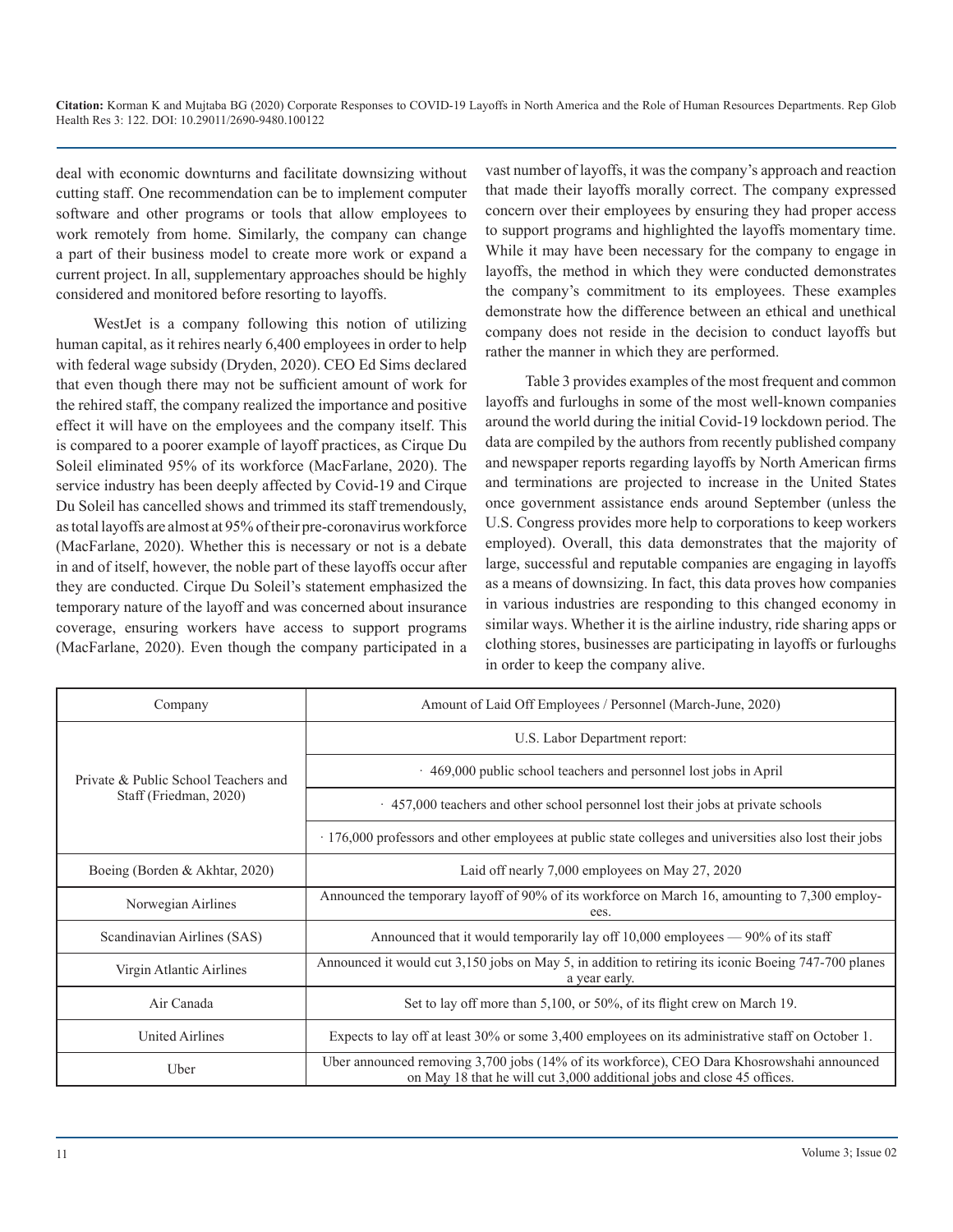deal with economic downturns and facilitate downsizing without cutting staff. One recommendation can be to implement computer software and other programs or tools that allow employees to work remotely from home. Similarly, the company can change a part of their business model to create more work or expand a current project. In all, supplementary approaches should be highly considered and monitored before resorting to layoffs.

WestJet is a company following this notion of utilizing human capital, as it rehires nearly 6,400 employees in order to help with federal wage subsidy (Dryden, 2020). CEO Ed Sims declared that even though there may not be sufficient amount of work for the rehired staff, the company realized the importance and positive effect it will have on the employees and the company itself. This is compared to a poorer example of layoff practices, as Cirque Du Soleil eliminated 95% of its workforce (MacFarlane, 2020). The service industry has been deeply affected by Covid-19 and Cirque Du Soleil has cancelled shows and trimmed its staff tremendously, as total layoffs are almost at 95% of their pre-coronavirus workforce (MacFarlane, 2020). Whether this is necessary or not is a debate in and of itself, however, the noble part of these layoffs occur after they are conducted. Cirque Du Soleil's statement emphasized the temporary nature of the layoff and was concerned about insurance coverage, ensuring workers have access to support programs (MacFarlane, 2020). Even though the company participated in a vast number of layoffs, it was the company's approach and reaction that made their layoffs morally correct. The company expressed concern over their employees by ensuring they had proper access to support programs and highlighted the layoffs momentary time. While it may have been necessary for the company to engage in layoffs, the method in which they were conducted demonstrates the company's commitment to its employees. These examples demonstrate how the difference between an ethical and unethical company does not reside in the decision to conduct layoffs but rather the manner in which they are performed.

 Table 3 provides examples of the most frequent and common layoffs and furloughs in some of the most well-known companies around the world during the initial Covid-19 lockdown period. The data are compiled by the authors from recently published company and newspaper reports regarding layoffs by North American firms and terminations are projected to increase in the United States once government assistance ends around September (unless the U.S. Congress provides more help to corporations to keep workers employed). Overall, this data demonstrates that the majority of large, successful and reputable companies are engaging in layoffs as a means of downsizing. In fact, this data proves how companies in various industries are responding to this changed economy in similar ways. Whether it is the airline industry, ride sharing apps or clothing stores, businesses are participating in layoffs or furloughs in order to keep the company alive.

| Company                              | Amount of Laid Off Employees / Personnel (March-June, 2020)                                                                                                          |  |  |
|--------------------------------------|----------------------------------------------------------------------------------------------------------------------------------------------------------------------|--|--|
|                                      | U.S. Labor Department report:                                                                                                                                        |  |  |
| Private & Public School Teachers and | 469,000 public school teachers and personnel lost jobs in April                                                                                                      |  |  |
| Staff (Friedman, 2020)               | 457,000 teachers and other school personnel lost their jobs at private schools                                                                                       |  |  |
|                                      | 176,000 professors and other employees at public state colleges and universities also lost their jobs                                                                |  |  |
| Boeing (Borden & Akhtar, 2020)       | Laid off nearly 7,000 employees on May 27, 2020                                                                                                                      |  |  |
| Norwegian Airlines                   | Announced the temporary layoff of 90% of its workforce on March 16, amounting to 7,300 employ-<br>ees.                                                               |  |  |
| Scandinavian Airlines (SAS)          | Announced that it would temporarily lay off 10,000 employees — 90% of its staff                                                                                      |  |  |
| Virgin Atlantic Airlines             | Announced it would cut 3,150 jobs on May 5, in addition to retiring its iconic Boeing 747-700 planes<br>a year early.                                                |  |  |
| Air Canada                           | Set to lay off more than 5,100, or 50%, of its flight crew on March 19.                                                                                              |  |  |
| <b>United Airlines</b>               | Expects to lay off at least 30% or some 3,400 employees on its administrative staff on October 1.                                                                    |  |  |
| Uber                                 | Uber announced removing 3,700 jobs (14% of its workforce), CEO Dara Khosrowshahi announced<br>on May 18 that he will cut 3,000 additional jobs and close 45 offices. |  |  |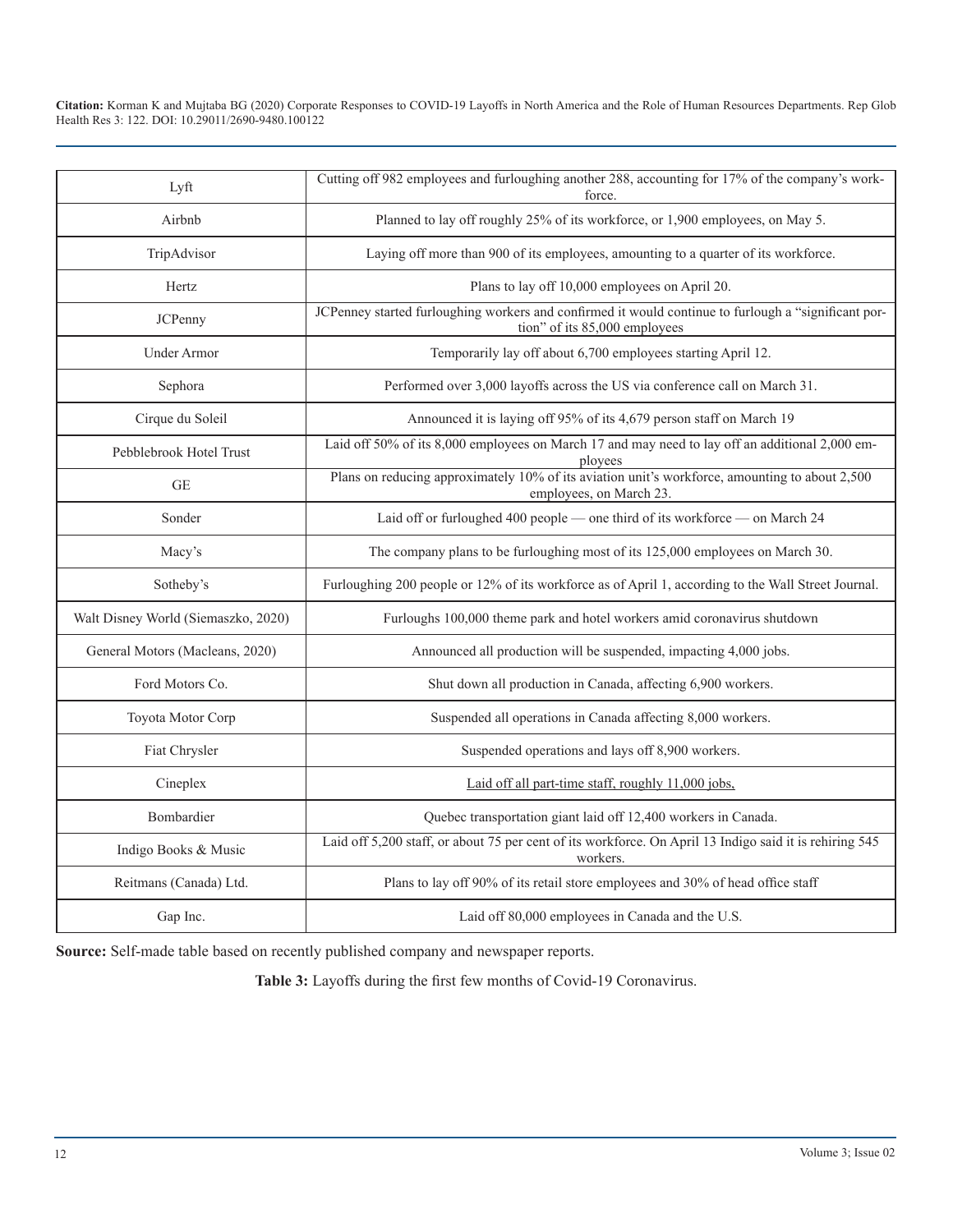| Lyft                                | Cutting off 982 employees and furloughing another 288, accounting for 17% of the company's work-                                      |
|-------------------------------------|---------------------------------------------------------------------------------------------------------------------------------------|
| Airbnb                              | Planned to lay off roughly 25% of its workforce, or 1,900 employees, on May 5.                                                        |
| TripAdvisor                         | Laying off more than 900 of its employees, amounting to a quarter of its workforce.                                                   |
| Hertz                               | Plans to lay off 10,000 employees on April 20.                                                                                        |
| <b>JCPenny</b>                      | JCPenney started furloughing workers and confirmed it would continue to furlough a "significant por-<br>tion" of its 85,000 employees |
| <b>Under Armor</b>                  | Temporarily lay off about 6,700 employees starting April 12.                                                                          |
| Sephora                             | Performed over 3,000 layoffs across the US via conference call on March 31.                                                           |
| Cirque du Soleil                    | Announced it is laying off 95% of its 4,679 person staff on March 19                                                                  |
| Pebblebrook Hotel Trust             | Laid off 50% of its 8,000 employees on March 17 and may need to lay off an additional 2,000 em-<br>ployees                            |
| <b>GE</b>                           | Plans on reducing approximately 10% of its aviation unit's workforce, amounting to about 2,500<br>employees, on March 23.             |
| Sonder                              | Laid off or furloughed 400 people — one third of its workforce — on March 24                                                          |
| Macy's                              | The company plans to be furloughing most of its 125,000 employees on March 30.                                                        |
| Sotheby's                           | Furloughing 200 people or 12% of its workforce as of April 1, according to the Wall Street Journal.                                   |
| Walt Disney World (Siemaszko, 2020) | Furloughs 100,000 theme park and hotel workers amid coronavirus shutdown                                                              |
| General Motors (Macleans, 2020)     | Announced all production will be suspended, impacting 4,000 jobs.                                                                     |
| Ford Motors Co.                     | Shut down all production in Canada, affecting 6,900 workers.                                                                          |
| Toyota Motor Corp                   | Suspended all operations in Canada affecting 8,000 workers.                                                                           |
| Fiat Chrysler                       | Suspended operations and lays off 8,900 workers.                                                                                      |
| Cineplex                            | Laid off all part-time staff, roughly 11,000 jobs,                                                                                    |
| Bombardier                          | Quebec transportation giant laid off 12,400 workers in Canada.                                                                        |
| Indigo Books & Music                | Laid off 5,200 staff, or about 75 per cent of its workforce. On April 13 Indigo said it is rehiring 545<br>workers.                   |
| Reitmans (Canada) Ltd.              | Plans to lay off 90% of its retail store employees and 30% of head office staff                                                       |
| Gap Inc.                            | Laid off 80,000 employees in Canada and the U.S.                                                                                      |

**Source:** Self-made table based on recently published company and newspaper reports.

**Table 3:** Layoffs during the first few months of Covid-19 Coronavirus.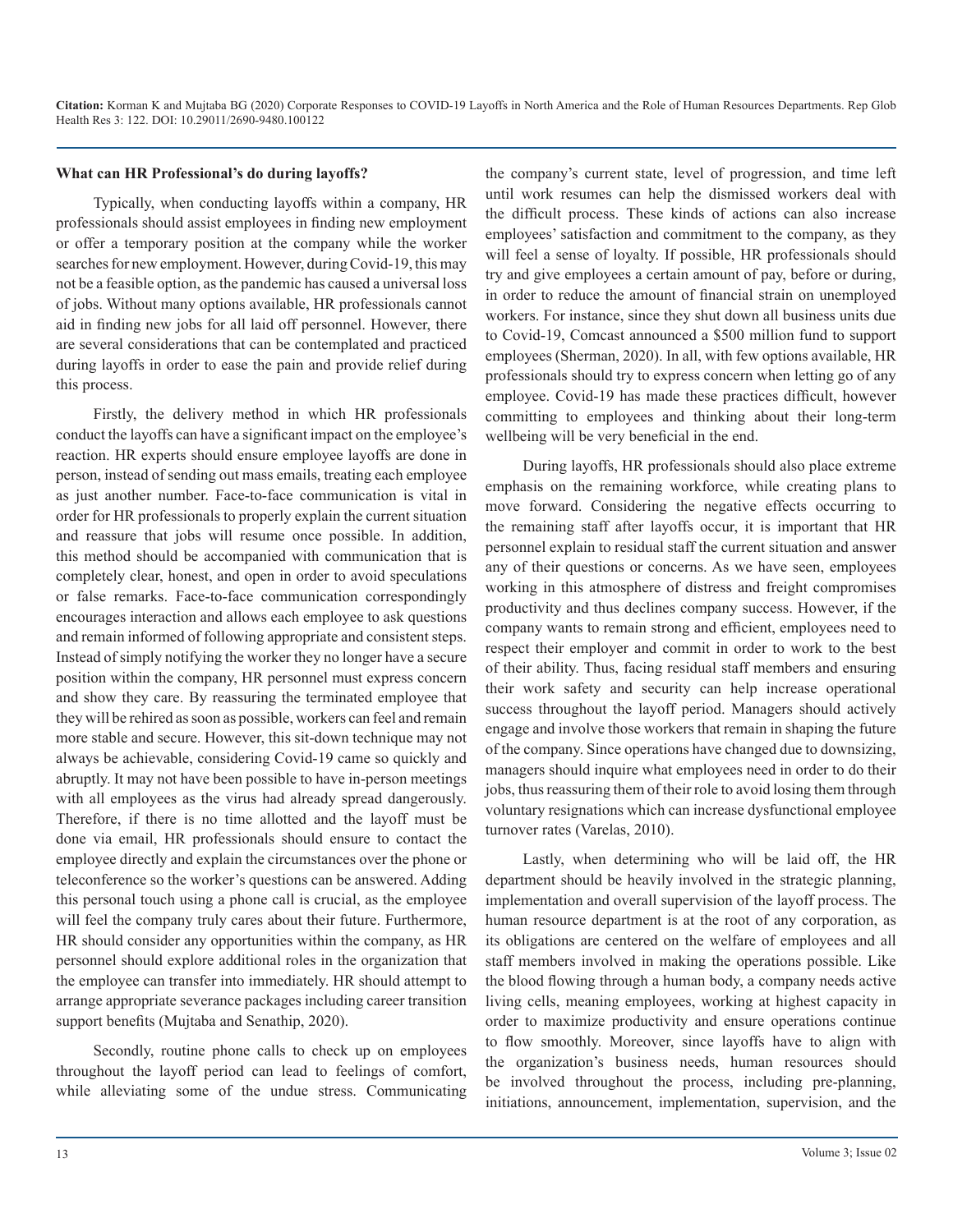#### **What can HR Professional's do during layoffs?**

Typically, when conducting layoffs within a company, HR professionals should assist employees in finding new employment or offer a temporary position at the company while the worker searches for new employment. However, during Covid-19, this may not be a feasible option, as the pandemic has caused a universal loss of jobs. Without many options available, HR professionals cannot aid in finding new jobs for all laid off personnel. However, there are several considerations that can be contemplated and practiced during layoffs in order to ease the pain and provide relief during this process.

Firstly, the delivery method in which HR professionals conduct the layoffs can have a significant impact on the employee's reaction. HR experts should ensure employee layoffs are done in person, instead of sending out mass emails, treating each employee as just another number. Face-to-face communication is vital in order for HR professionals to properly explain the current situation and reassure that jobs will resume once possible. In addition, this method should be accompanied with communication that is completely clear, honest, and open in order to avoid speculations or false remarks. Face-to-face communication correspondingly encourages interaction and allows each employee to ask questions and remain informed of following appropriate and consistent steps. Instead of simply notifying the worker they no longer have a secure position within the company, HR personnel must express concern and show they care. By reassuring the terminated employee that they will be rehired as soon as possible, workers can feel and remain more stable and secure. However, this sit-down technique may not always be achievable, considering Covid-19 came so quickly and abruptly. It may not have been possible to have in-person meetings with all employees as the virus had already spread dangerously. Therefore, if there is no time allotted and the layoff must be done via email, HR professionals should ensure to contact the employee directly and explain the circumstances over the phone or teleconference so the worker's questions can be answered. Adding this personal touch using a phone call is crucial, as the employee will feel the company truly cares about their future. Furthermore, HR should consider any opportunities within the company, as HR personnel should explore additional roles in the organization that the employee can transfer into immediately. HR should attempt to arrange appropriate severance packages including career transition support benefits (Mujtaba and Senathip, 2020).

Secondly, routine phone calls to check up on employees throughout the layoff period can lead to feelings of comfort, while alleviating some of the undue stress. Communicating the company's current state, level of progression, and time left until work resumes can help the dismissed workers deal with the difficult process. These kinds of actions can also increase employees' satisfaction and commitment to the company, as they will feel a sense of loyalty. If possible, HR professionals should try and give employees a certain amount of pay, before or during, in order to reduce the amount of financial strain on unemployed workers. For instance, since they shut down all business units due to Covid-19, Comcast announced a \$500 million fund to support employees (Sherman, 2020). In all, with few options available, HR professionals should try to express concern when letting go of any employee. Covid-19 has made these practices difficult, however committing to employees and thinking about their long-term wellbeing will be very beneficial in the end.

During layoffs, HR professionals should also place extreme emphasis on the remaining workforce, while creating plans to move forward. Considering the negative effects occurring to the remaining staff after layoffs occur, it is important that HR personnel explain to residual staff the current situation and answer any of their questions or concerns. As we have seen, employees working in this atmosphere of distress and freight compromises productivity and thus declines company success. However, if the company wants to remain strong and efficient, employees need to respect their employer and commit in order to work to the best of their ability. Thus, facing residual staff members and ensuring their work safety and security can help increase operational success throughout the layoff period. Managers should actively engage and involve those workers that remain in shaping the future of the company. Since operations have changed due to downsizing, managers should inquire what employees need in order to do their jobs, thus reassuring them of their role to avoid losing them through voluntary resignations which can increase dysfunctional employee turnover rates (Varelas, 2010).

Lastly, when determining who will be laid off, the HR department should be heavily involved in the strategic planning, implementation and overall supervision of the layoff process. The human resource department is at the root of any corporation, as its obligations are centered on the welfare of employees and all staff members involved in making the operations possible. Like the blood flowing through a human body, a company needs active living cells, meaning employees, working at highest capacity in order to maximize productivity and ensure operations continue to flow smoothly. Moreover, since layoffs have to align with the organization's business needs, human resources should be involved throughout the process, including pre-planning, initiations, announcement, implementation, supervision, and the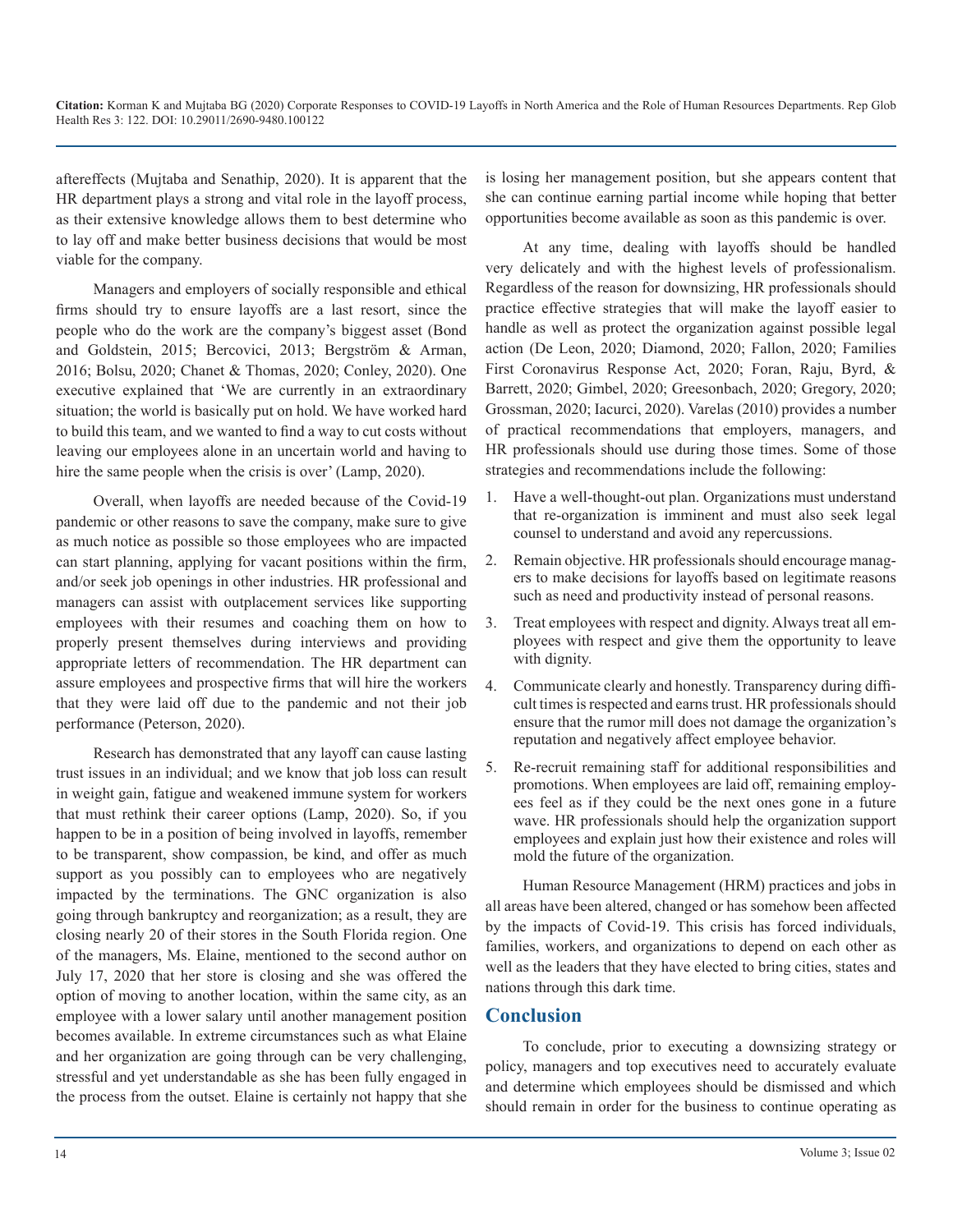aftereffects (Mujtaba and Senathip, 2020). It is apparent that the HR department plays a strong and vital role in the layoff process, as their extensive knowledge allows them to best determine who to lay off and make better business decisions that would be most viable for the company.

Managers and employers of socially responsible and ethical firms should try to ensure layoffs are a last resort, since the people who do the work are the company's biggest asset (Bond and Goldstein, 2015; Bercovici, 2013; Bergström & Arman, 2016; Bolsu, 2020; Chanet & Thomas, 2020; Conley, 2020). One executive explained that 'We are currently in an extraordinary situation; the world is basically put on hold. We have worked hard to build this team, and we wanted to find a way to cut costs without leaving our employees alone in an uncertain world and having to hire the same people when the crisis is over' (Lamp, 2020).

Overall, when layoffs are needed because of the Covid-19 pandemic or other reasons to save the company, make sure to give as much notice as possible so those employees who are impacted can start planning, applying for vacant positions within the firm, and/or seek job openings in other industries. HR professional and managers can assist with outplacement services like supporting employees with their resumes and coaching them on how to properly present themselves during interviews and providing appropriate letters of recommendation. The HR department can assure employees and prospective firms that will hire the workers that they were laid off due to the pandemic and not their job performance (Peterson, 2020).

Research has demonstrated that any layoff can cause lasting trust issues in an individual; and we know that job loss can result in weight gain, fatigue and weakened immune system for workers that must rethink their career options (Lamp, 2020). So, if you happen to be in a position of being involved in layoffs, remember to be transparent, show compassion, be kind, and offer as much support as you possibly can to employees who are negatively impacted by the terminations. The GNC organization is also going through bankruptcy and reorganization; as a result, they are closing nearly 20 of their stores in the South Florida region. One of the managers, Ms. Elaine, mentioned to the second author on July 17, 2020 that her store is closing and she was offered the option of moving to another location, within the same city, as an employee with a lower salary until another management position becomes available. In extreme circumstances such as what Elaine and her organization are going through can be very challenging, stressful and yet understandable as she has been fully engaged in the process from the outset. Elaine is certainly not happy that she

is losing her management position, but she appears content that she can continue earning partial income while hoping that better opportunities become available as soon as this pandemic is over.

At any time, dealing with layoffs should be handled very delicately and with the highest levels of professionalism. Regardless of the reason for downsizing, HR professionals should practice effective strategies that will make the layoff easier to handle as well as protect the organization against possible legal action (De Leon, 2020; Diamond, 2020; Fallon, 2020; Families First Coronavirus Response Act, 2020; Foran, Raju, Byrd, & Barrett, 2020; Gimbel, 2020; Greesonbach, 2020; Gregory, 2020; Grossman, 2020; Iacurci, 2020). Varelas (2010) provides a number of practical recommendations that employers, managers, and HR professionals should use during those times. Some of those strategies and recommendations include the following:

- 1. Have a well-thought-out plan. Organizations must understand that re-organization is imminent and must also seek legal counsel to understand and avoid any repercussions.
- 2. Remain objective. HR professionals should encourage managers to make decisions for layoffs based on legitimate reasons such as need and productivity instead of personal reasons.
- 3. Treat employees with respect and dignity. Always treat all employees with respect and give them the opportunity to leave with dignity.
- 4. Communicate clearly and honestly. Transparency during difficult times is respected and earns trust. HR professionals should ensure that the rumor mill does not damage the organization's reputation and negatively affect employee behavior.
- 5. Re-recruit remaining staff for additional responsibilities and promotions. When employees are laid off, remaining employees feel as if they could be the next ones gone in a future wave. HR professionals should help the organization support employees and explain just how their existence and roles will mold the future of the organization.

Human Resource Management (HRM) practices and jobs in all areas have been altered, changed or has somehow been affected by the impacts of Covid-19. This crisis has forced individuals, families, workers, and organizations to depend on each other as well as the leaders that they have elected to bring cities, states and nations through this dark time.

### **Conclusion**

To conclude, prior to executing a downsizing strategy or policy, managers and top executives need to accurately evaluate and determine which employees should be dismissed and which should remain in order for the business to continue operating as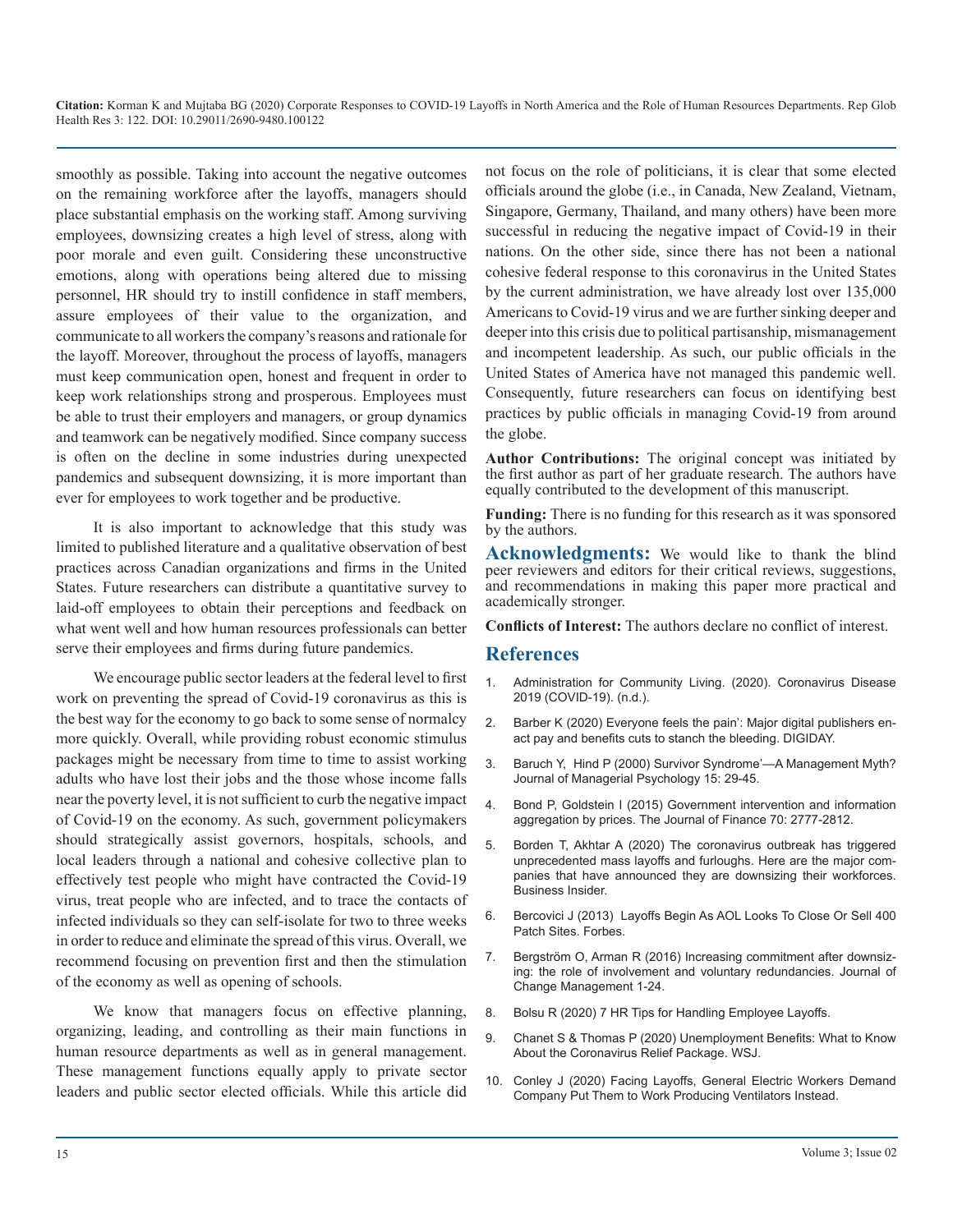smoothly as possible. Taking into account the negative outcomes on the remaining workforce after the layoffs, managers should place substantial emphasis on the working staff. Among surviving employees, downsizing creates a high level of stress, along with poor morale and even guilt. Considering these unconstructive emotions, along with operations being altered due to missing personnel, HR should try to instill confidence in staff members, assure employees of their value to the organization, and communicate to all workers the company's reasons and rationale for the layoff. Moreover, throughout the process of layoffs, managers must keep communication open, honest and frequent in order to keep work relationships strong and prosperous. Employees must be able to trust their employers and managers, or group dynamics and teamwork can be negatively modified. Since company success is often on the decline in some industries during unexpected pandemics and subsequent downsizing, it is more important than ever for employees to work together and be productive.

It is also important to acknowledge that this study was limited to published literature and a qualitative observation of best practices across Canadian organizations and firms in the United States. Future researchers can distribute a quantitative survey to laid-off employees to obtain their perceptions and feedback on what went well and how human resources professionals can better serve their employees and firms during future pandemics.

We encourage public sector leaders at the federal level to first [work on preventing the spread of Covid-19 coronavirus as this is](https://acl.gov/COVID-19)  the best way for the economy to go back to some sense of normalcy [more quickly. Overall, while providing robust economic stimulus](https://digiday.com/media/everyone-feels-the-pain-major-digital-publishers-enact-pay-and-benefits-cuts-to-stanch-the-bleeding/)  packages might be necessary from time to time to assist working [adults who have lost their jobs and the those whose income falls](https://www.emerald.com/insight/content/doi/10.1108/02683940010305289/full/html)  near the poverty level, it is not sufficient to curb the negative impact [of Covid-19 on the economy. As such, government policymakers](https://onlinelibrary.wiley.com/doi/abs/10.1111/jofi.12303)  should strategically assist governors, hospitals, schools, and [local leaders through a national and cohesive collective plan to](https://www.businessinsider.in/thelife/news/the-coronavirus-outbreak-has-triggered-unprecedented-mass-layoffs-and-furloughs-here-are-the-major-companies-that-have-announced-they-are-downsizing-their-workforces-/slidelist/75459304.cms)  effectively test people who might have contracted the Covid-19 virus, treat people who are infected, and to trace the contacts of [infected individuals so they can self-isolate for two to three weeks](https://www.forbes.com/sites/jeffbercovici/2013/08/09/layoffs-begin-as-aol-looks-to-close-or-sell-400-patch-sites/#655dd2456835)  in order to reduce and eliminate the spread of this virus. Overall, we recommend focusing on prevention first and then the stimulation of the economy as well as opening of schools.

We know that managers focus on effective planning, organizing, leading, and controlling as their main functions in [human resource departments as well as in general management.](https://www.wsj.com/articles/unemployment-benefits-what-to-know-about-the-coronavirus-bill-11585256520?mod=article_inline)  These management functions equally apply to private sector [leaders and public sector elected officials. While this article did](https://www.commondreams.org/news/2020/03/30/facing-layoffs-general-electric-workers-demand-company-put-them-work-producing) 

not focus on the role of politicians, it is clear that some elected officials around the globe (i.e., in Canada, New Zealand, Vietnam, Singapore, Germany, Thailand, and many others) have been more successful in reducing the negative impact of Covid-19 in their nations. On the other side, since there has not been a national cohesive federal response to this coronavirus in the United States by the current administration, we have already lost over 135,000 Americans to Covid-19 virus and we are further sinking deeper and deeper into this crisis due to political partisanship, mismanagement and incompetent leadership. As such, our public officials in the United States of America have not managed this pandemic well. Consequently, future researchers can focus on identifying best practices by public officials in managing Covid-19 from around the globe.

**Author Contributions:** The original concept was initiated by the first author as part of her graduate research. The authors have equally contributed to the development of this manuscript.

**Funding:** There is no funding for this research as it was sponsored by the authors.

**Acknowledgments:** We would like to thank the blind peer reviewers and editors for their critical reviews, suggestions, and recommendations in making this paper more practical and academically stronger.

**Conflicts of Interest:** The authors declare no conflict of interest.

#### **References**

- 1. [Administration for Community Living. \(2020\). Coronavirus Disease](https://acl.gov/COVID-19)  2019 (COVID-19). (n.d.).
- 2. [Barber K \(2020\) Everyone feels the pain': Major digital publishers en](https://digiday.com/media/everyone-feels-the-pain-major-digital-publishers-enact-pay-and-benefits-cuts-to-stanch-the-bleeding/)act pay and benefits cuts to stanch the bleeding. DIGIDAY.
- 3. [Baruch Y, Hind P \(2000\) Survivor Syndrome'—A Management Myth?](https://www.emerald.com/insight/content/doi/10.1108/02683940010305289/full/html)  Journal of Managerial Psychology 15: 29-45.
- 4. [Bond P, Goldstein I \(2015\) Government intervention and information](https://onlinelibrary.wiley.com/doi/abs/10.1111/jofi.12303)  aggregation by prices. The Journal of Finance 70: 2777-2812.
- 5. [Borden T, Akhtar A \(2020\) The coronavirus outbreak has triggered](https://www.businessinsider.in/thelife/news/the-coronavirus-outbreak-has-triggered-unprecedented-mass-layoffs-and-furloughs-here-are-the-major-companies-that-have-announced-they-are-downsizing-their-workforces-/slidelist/75459304.cms)  unprecedented mass layoffs and furloughs. Here are the major com[panies that have announced they are downsizing their workforces.](https://www.businessinsider.in/thelife/news/the-coronavirus-outbreak-has-triggered-unprecedented-mass-layoffs-and-furloughs-here-are-the-major-companies-that-have-announced-they-are-downsizing-their-workforces-/slidelist/75459304.cms)  [Business Insider.](https://www.businessinsider.in/thelife/news/the-coronavirus-outbreak-has-triggered-unprecedented-mass-layoffs-and-furloughs-here-are-the-major-companies-that-have-announced-they-are-downsizing-their-workforces-/slidelist/75459304.cms)
- 6. [Bercovici J \(2013\) Layoffs Begin As AOL Looks To Close Or Sell 400](https://www.forbes.com/sites/jeffbercovici/2013/08/09/layoffs-begin-as-aol-looks-to-close-or-sell-400-patch-sites/#655dd2456835)  Patch Sites. Forbes.
- 7. [Bergström O, Arman R \(2016\) Increasing commitment after downsiz](https://www.tandfonline.com/doi/abs/10.1080/14697017.2016.1252784)[ing: the role of involvement and voluntary redundancies. Journal of](https://www.tandfonline.com/doi/abs/10.1080/14697017.2016.1252784)  [Change Management 1-24](https://www.tandfonline.com/doi/abs/10.1080/14697017.2016.1252784).
- 8. [Bolsu R \(2020\) 7 HR Tips for Handling Employee Layoffs](https://blog.namely.com/blog/7-hr-tips-for-handling-employee-layoffs).
- 9. [Chanet S & Thomas P \(2020\) Unemployment Benefits: What to Know](https://www.wsj.com/articles/unemployment-benefits-what-to-know-about-the-coronavirus-bill-11585256520?mod=article_inline)  About the Coronavirus Relief Package. WSJ.
- 10. [Conley J \(2020\) Facing Layoffs, General Electric Workers Demand](https://www.commondreams.org/news/2020/03/30/facing-layoffs-general-electric-workers-demand-company-put-them-work-producing)  Company Put Them to Work Producing Ventilators Instead.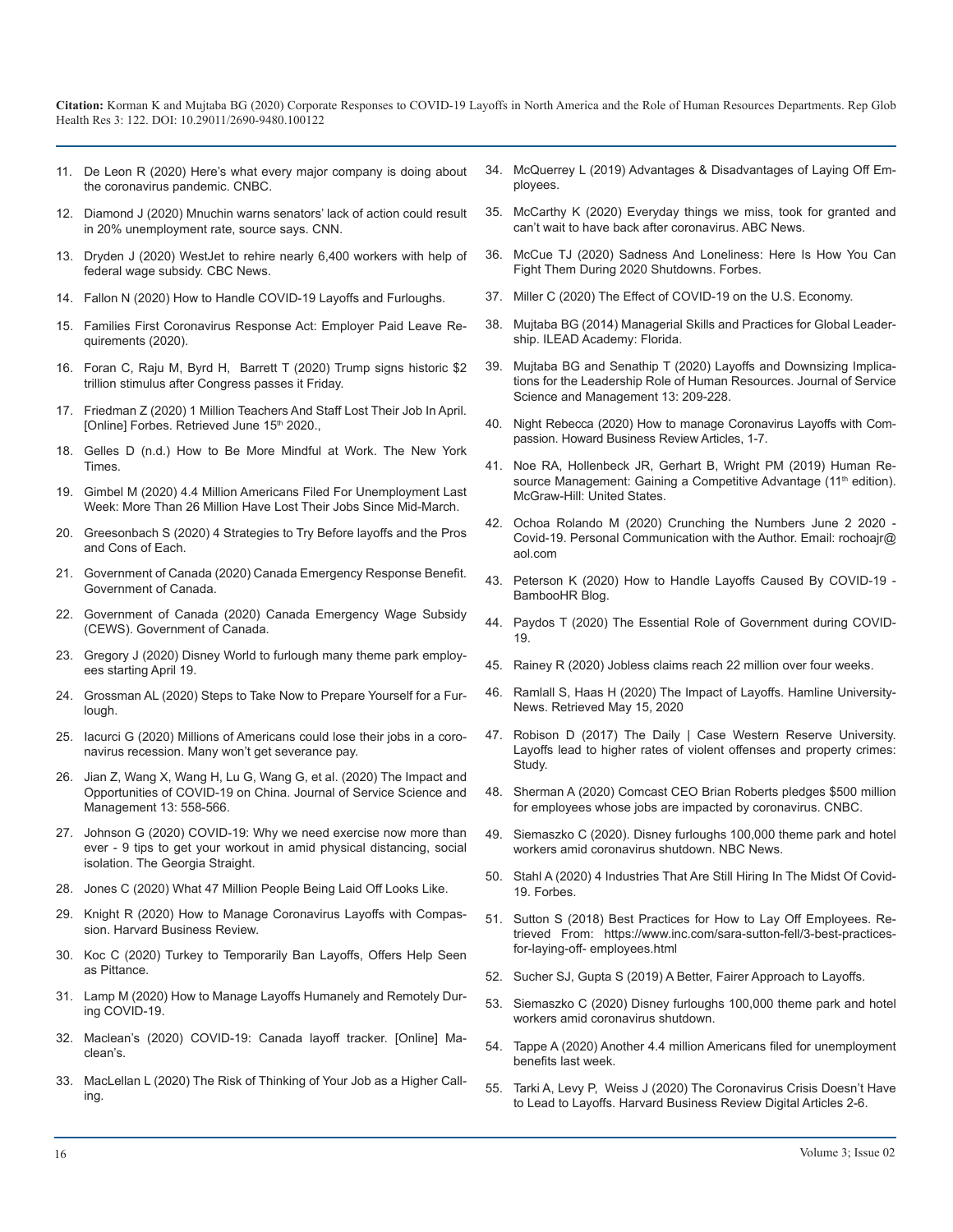- 11. [De Leon R \(2020\) Here's what every major company is doing about](https://www.cnbc.com/2020/03/13/workforce-wire-coronavirus-heres-what-every-major-company-is-doing-about-the-pandemic.html)  the coronavirus pandemic. CNBC.
- 12. [Diamond J \(2020\) Mnuchin warns senators' lack of action could result](https://edition.cnn.com/2020/03/17/politics/steven-mnuchin-unemployment-warning-coronavirus/index.html)  in 20% unemployment rate, source says. CNN.
- 13. [Dryden J \(2020\) WestJet to rehire nearly 6,400 workers with help of](https://www.cbc.ca/news/canada/calgary/westjet-airline-layoffs-jobs-cut-covid-calgary-1.5527291)  federal wage subsidy. CBC News.
- 14. [Fallon N \(2020\) How to Handle COVID-19 Layoffs and Furloughs](https://www.uschamber.com/co/run/human-resources/handling-coronavirus-layoffs).
- 15. [Families First Coronavirus Response Act: Employer Paid Leave Re](https://www.dol.gov/agencies/whd/pandemic/ffcra-employer-paid-leave)quirements (2020).
- 16. [Foran C, Raju M, Byrd H, Barrett T \(2020\) Trump signs historic \\$2](https://edition.cnn.com/2020/03/27/politics/coronavirus-stimulus-house-vote/index.html) trillion stimulus after Congress passes it Friday.
- 17. [Friedman Z \(2020\) 1 Million Teachers And Staff Lost Their Job In April.](https://www.forbes.com/sites/zackfriedman/2020/06/05/teachers-unemployed-colleges-schools/#58fb46973dff)  [Online] Forbes. Retrieved June 15th 2020.,
- 18. [Gelles D \(n.d.\) How to Be More Mindful at Work. The New York](https://www.nytimes.com/guides/well/be-more-mindful-at-work)  [Times.](https://www.nytimes.com/guides/well/be-more-mindful-at-work)
- 19. [Gimbel M \(2020\) 4.4 Million Americans Filed For Unemployment Last](https://www.forbes.com/sites/marthagimbel/2020/04/23/number-of-new-unemployment-insurance-claims-falls-but-remains-in-the-millions/#77fd4bc1745c)  Week: More Than 26 Million Have Lost Their Jobs Since Mid-March.
- 20. [Greesonbach S \(2020\) 4 Strategies to Try Before layoffs and the Pros](https://www.glassdoor.com/employers/blog/4-strategies-to-try-before-layoffs-and-the-pros-and-cons-of-each/)  and Cons of Each.
- 21. [Government of Canada \(2020\) Canada Emergency Response Benefit.](https://www.canada.ca/en/services/benefits/ei/cerb-application.html)  Government of Canada.
- 22. [Government of Canada \(2020\) Canada Emergency Wage Subsidy](https://www.canada.ca/en/revenue-agency/services/subsidy/emergency-wage-subsidy.html)  (CEWS). Government of Canada.
- 23. [Gregory J \(2020\) Disney World to furlough many theme park employ](https://www.themeparktribune.com/disney-world-to-furlough-many-theme-park-employees-starting-april-19/)ees starting April 19.
- 24. [Grossman AL \(2020\) Steps to Take Now to Prepare Yourself for a Fur](https://www.frugalconfessions.com/unemployed/prepare-yourself-for-a-furlough/)lough.
- 25. [Iacurci G \(2020\) Millions of Americans could lose their jobs in a coro](https://www.cnbc.com/2020/03/16/millions-of-americans-could-lose-their-jobs-in-a-coronavirus-recession.html)navirus recession. Many won't get severance pay.
- 26. Jian Z, Wang X, Wang H, Lu G, Wang G, et al. (2020) The Impact and Opportunities of COVID-19 on China. Journal of Service Science and Management 13: 558-566.
- 27. [Johnson G \(2020\) COVID-19: Why we need exercise now more than](https://www.straight.com/life/1375581/covid-19-why-we-need-exercise-now-more-ever)  ever - 9 tips to get your workout in amid physical distancing, social [isolation. The Georgia Straight](https://www.straight.com/life/1375581/covid-19-why-we-need-exercise-now-more-ever).
- 28. [Jones C \(2020\) What 47 Million People Being Laid Off Looks Like](https://www.forbes.com/sites/chuckjones/2020/03/31/what-47-million-people-being-laid-off-looks-like/#6330532d58b8).
- 29. [Knight R \(2020\) How to Manage Coronavirus Layoffs with Compas](https://hbr.org/2020/04/how-to-manage-coronavirus-layoffs-with-compassion?ab=hero-main-text)sion. Harvard Business Review.
- 30. [Koc C \(2020\) Turkey to Temporarily Ban Layoffs, Offers Help Seen](https://www.bloomberg.com/news/articles/2020-04-08/turkey-to-temporarily-ban-layoffs-with-virus-cases-near-40-000)  as Pittance.
- 31. [Lamp M \(2020\) How to Manage Layoffs Humanely and Remotely Dur](https://jobbatical.com/resources/how-to-manage-layoffs-humanely-and-remotely-during-covid-19)ing COVID-19.
- 32. [Maclean's \(2020\) COVID-19: Canada layoff tracker. \[Online\] Ma](https://www.macleans.ca/economy/covid-19-canada-layoff-tracker/)clean's.
- 33. [MacLellan L \(2020\) The Risk of Thinking of Your Job as a Higher Call](https://qz.com/work/1528263/the-risk-of-thinking-of-your-job-as-a-higher-calling/)ing.
- 34. [McQuerrey L \(2019\) Advantages & Disadvantages of Laying Off Em](https://bizfluent.com/info-11415369-advantages-disadvantages-laying-off-employees.html)[ployees.](https://www.cnbc.com/2020/03/13/workforce-wire-coronavirus-heres-what-every-major-company-is-doing-about-the-pandemic.html)
- 35. [McCarthy K \(2020\) Everyday things we miss, took for granted and](https://abcnews.go.com/Health/things-miss-coronavirus-normal-feel/story?id=69746289)  [can't wait to have back after coronavirus. ABC News](https://edition.cnn.com/2020/03/17/politics/steven-mnuchin-unemployment-warning-coronavirus/index.html).
- 36. [McCue TJ \(2020\) Sadness And Loneliness: Here Is How You Can](https://www.forbes.com/sites/tjmccue/2020/04/30/sadness-and-loneliness-here-is-how-you-can-fight-it-during-2020-shutdowns/#2fbfa55d4892)  [Fight Them During 2020 Shutdowns. Forbes](https://www.cbc.ca/news/canada/calgary/westjet-airline-layoffs-jobs-cut-covid-calgary-1.5527291).
- 37. [Miller C \(2020\) The Effect of COVID-19 on the U.S. Economy](https://www.fpri.org/article/2020/03/the-effect-of-covid-19-on-the-u-s-economy/).
- 38. [Mujtaba BG \(2014\) Managerial Skills and Practices for Global Leader](https://nsuworks.nova.edu/hcbe_facbooks/89/)[ship. ILEAD Academy: Florida.](https://www.dol.gov/agencies/whd/pandemic/ffcra-employer-paid-leave)
- 39. [Mujtaba BG and Senathip T \(2020\) Layoffs and Downsizing Implica](https://www.scirp.org/journal/paperinformation.aspx?paperid=99284)[tions for the Leadership Role of Human Resources.](https://edition.cnn.com/2020/03/27/politics/coronavirus-stimulus-house-vote/index.html) Journal of Service [Science and Management 13: 209-228](https://www.scirp.org/journal/paperinformation.aspx?paperid=99284).
- 40. [Night Rebecca \(2020\) How to manage Coronavirus Layoffs with Com](https://www.forbes.com/sites/zackfriedman/2020/06/05/teachers-unemployed-colleges-schools/#58fb46973dff)passion. Howard Business Review Articles, 1-7.
- 41. [Noe RA, Hollenbeck JR, Gerhart B, Wright PM \(2019\) Human Re](https://www.amazon.com/Human-Resource-Management-Competitive-Advantage/dp/0078029252)-sourceManagement: Gaining a Competitive Advantage (11<sup>th</sup> edition). [McGraw-Hill: United States](https://www.amazon.com/Human-Resource-Management-Competitive-Advantage/dp/0078029252).
- 42. Ochoa Rolando M (2020) Crunching the Numbers June 2 2020 [Covid-19. Personal Communication with the Author. Email: rochoajr@](https://www.glassdoor.com/employers/blog/4-strategies-to-try-before-layoffs-and-the-pros-and-cons-of-each/) aol.com
- 43. [Peterson K \(2020\) How to Handle Layoffs Caused By COVID-19 -](https://www.bamboohr.com/blog/how-to-handle-layoffs/) BambooHR Blog.
- 44. [Paydos T \(2020\) The Essential Role of Government during COVID-](https://www.forbes.com/sites/ibm/2020/04/13/the-essential-role-of-government-during-covid-19/#2c79a5c114ad)19.
- 45. [Rainey R \(2020\) Jobless claims reach 22 million over four weeks](https://www.politico.com/news/2020/04/16/coronavirus-unemployment-claims-numbers-190026).
- 46. [Ramlall S, Haas H \(2020\) The Impact of Layoffs. Hamline University-](https://www.hamline.edu/HUNewsDetail.aspx?id=4294968349)[News. Retrieved May 15, 202](https://www.frugalconfessions.com/unemployed/prepare-yourself-for-a-furlough/)0
- 47. [Robison D \(2017\) The Daily | Case Western Reserve University.](http://thedaily.case.edu/layoffs-lead-to-higher-rates-of-violent-offenses-and-property-crimes-study/https:/thedaily.case.edu/layoffs-lead-to-higher-rates-of-violent-offenses-and-property-crimes-study/)  [Layoffs lead to higher rates of violent offenses and property crimes:](https://www.cnbc.com/2020/03/16/millions-of-americans-could-lose-their-jobs-in-a-coronavirus-recession.html)  [Study](http://thedaily.case.edu/layoffs-lead-to-higher-rates-of-violent-offenses-and-property-crimes-study/https:/thedaily.case.edu/layoffs-lead-to-higher-rates-of-violent-offenses-and-property-crimes-study/).
- 48. [Sherman A \(2020\) Comcast CEO Brian Roberts pledges \\$500 million](https://www.cnbc.com/2020/04/01/comcast-ceo-500-million-for-employee-jobs-impacted-by-coronavirus.html)  for employees whose jobs are impacted by coronavirus. CNBC.
- 49. [Siemaszko C \(2020\). Disney furloughs 100,000 theme park and hotel](https://www.nbcnews.com/news/us-news/disney-furloughs-100-000-theme-park-hotel-workers-amid-coronavirus-n1188236)  [workers amid coronavirus shutdown. NBC News](https://www.straight.com/life/1375581/covid-19-why-we-need-exercise-now-more-ever).
- 50. [Stahl A \(2020\) 4 Industries That Are Still Hiring In The Midst Of Covid-](https://www.forbes.com/sites/ashleystahl/2020/04/01/4-industries-who-are-still-hiring-in-the-midst-of-covid-19/#500c511615ee)19. Forbes.
- 51. Sutton S (2018) Best Practices for How to Lay Off Employees. Re[trieved From:](https://hbr.org/2020/04/how-to-manage-coronavirus-layoffs-with-compassion?ab=hero-main-text) [https://www.inc.com/sara-sutton-fell/3-best-practices](https://www.inc.com/sara-sutton-fell/3-best-practices-for-laying-off-)[for-laying-off-](https://www.inc.com/sara-sutton-fell/3-best-practices-for-laying-off-) employees.html
- 52. [Sucher SJ, Gupta S \(2019\) A Better, Fairer Approach to Layoffs](https://hbr.org/2018/05/layoffs-that-dont-break-your-company).
- 53. [Siemaszko C \(2020\) Disney furloughs 100,000 theme park and hotel](https://www.nbcnews.com/news/us-news/disney-furloughs-100-000-theme-park-hotel-workers-amid-coronavirus-n1188236) workers amid coronavirus shutdown.
- 54. [Tappe A \(2020\) Another 4.4 million Americans filed for unemployment](https://edition.cnn.com/2020/04/23/economy/unemployment-benefits-coronavirus/index.html) benefits last week.
- 55. [Tarki A, Levy P, Weiss J \(2020\) The Coronavirus Crisis Doesn't Have](file:///C:/Users/B%20Phaneendra%20Reddy/Desktop/Tarki A, Levy P,  Weiss J (2020) The Coronavirus Crisis Doesn) to Lead to Layoffs. Harvard Business Review Digital Articles 2-6.